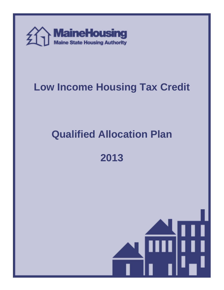

# **Low Income Housing Tax Credit**

# **Qualified Allocation Plan**

**2013** 

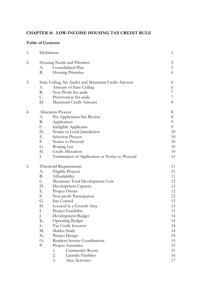# **CHAPTER 16 LOW-INCOME HOUSING TAX CREDIT RULE**

# **Table of Contents**

| 1. |                                                     | Definitions                                     | 1  |
|----|-----------------------------------------------------|-------------------------------------------------|----|
| 2. |                                                     | Housing Needs and Priorities                    | 5  |
|    | А.                                                  | Consolidated Plan                               | 5  |
|    | <b>B.</b>                                           | Housing Priorities                              | 6  |
| 3. | State Ceiling, Set Asides and Maximum Credit Amount |                                                 | 6  |
|    | А.                                                  | Amount of State Ceiling                         | 6  |
|    | <b>B.</b>                                           | Non-Profit Set-aside                            | 7  |
|    | C.                                                  | Preservation Set-aside                          | 7  |
|    | D.                                                  | Maximum Credit Amount                           | 8  |
| 4. |                                                     | <b>Allocation Process</b>                       | 8  |
|    | А.                                                  | Pre-Application Site Review                     | 8  |
|    | <b>B.</b>                                           | Application                                     | 9  |
|    | C.                                                  | Ineligible Applicants                           | 9  |
|    | D.                                                  | Notice to Local Jurisdiction                    | 10 |
|    | Е.                                                  | Selection Process                               | 10 |
|    | F.                                                  | Notice to Proceed                               | 10 |
|    | G.                                                  | Waiting List                                    | 10 |
|    | Н.                                                  | Credit Allocation                               | 10 |
|    | Ι.                                                  | Termination of Application or Notice to Proceed | 11 |
| 5. |                                                     | Threshold Requirements                          | 11 |
|    | А.                                                  | Eligible Projects                               | 11 |
|    | <b>B.</b>                                           | Affordability                                   | 11 |
|    | C.                                                  | Maximum Total Development Cost                  | 12 |
|    | D.                                                  | Development Capacity                            | 12 |
|    | Е.                                                  | Project Owner                                   | 12 |
|    | F.                                                  | Non-profit Participation                        | 12 |
|    | G.                                                  | Site Control                                    | 13 |
|    | Н.                                                  | Located in a Growth Area                        | 13 |
|    | I.                                                  | Project Feasibility                             | 13 |
|    | J.                                                  | Development Budget                              | 14 |
|    | К.                                                  | <b>Operating Budget</b>                         | 14 |
|    | L.                                                  | Tax Credit Investor                             | 14 |
|    | M.                                                  | Market Study                                    | 14 |
|    | N.                                                  | Project Design                                  | 14 |
|    | Ο.                                                  | Resident Service Coordination                   | 15 |
|    | Ρ.                                                  | Project Amenities                               | 15 |
|    |                                                     | 1.<br>Community Room                            | 15 |
|    |                                                     | 2.<br><b>Laundry Facilities</b>                 | 16 |
|    |                                                     | 3.<br>Area Activities                           | 17 |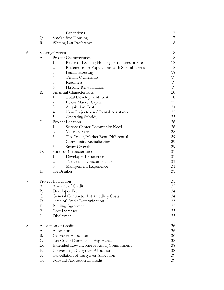|    |                      | 4.<br>Exceptions                                    | 17     |
|----|----------------------|-----------------------------------------------------|--------|
|    | Q.                   | Smoke-free Housing                                  | 17     |
|    | R.                   | Waiting List Preference                             | 18     |
| 6. |                      | Scoring Criteria                                    | 18     |
|    | А.                   | Project Characteristics                             | 18     |
|    |                      | Reuse of Existing Housing, Structures or Site<br>1. | 18     |
|    |                      | 2.<br>Preference for Populations with Special Needs | 18     |
|    |                      | 3.<br>Family Housing                                | 18     |
|    |                      | 4.<br>Tenant Ownership                              | 19     |
|    |                      | 5.<br>Readiness                                     | 19     |
|    |                      | 6.<br>Historic Rehabilitation                       | 19     |
|    | <b>B.</b>            | Financial Characteristics                           | $20\,$ |
|    |                      | Total Development Cost<br>1.                        | 20     |
|    |                      | 2.<br><b>Below Market Capital</b>                   | 21     |
|    |                      | 3.<br><b>Acquisition Cost</b>                       | 24     |
|    |                      | 4.<br>New Project-based Rental Assistance           | 25     |
|    |                      | 5.<br><b>Operating Subsidy</b>                      | 25     |
|    | C.                   | Project Location                                    | 26     |
|    |                      | 1.<br>Service Center Community Need                 | 26     |
|    |                      | 2.<br>Vacancy Rate                                  | 28     |
|    |                      | 3.<br>Tax Credit/Market Rent Differential           | 29     |
|    |                      | 4.<br>Community Revitalization                      | 29     |
|    |                      | 5.<br>Smart Growth                                  | 29     |
|    | D.                   | Sponsor Characteristics                             | 31     |
|    |                      | Developer Experience<br>1.                          | 31     |
|    |                      | 2.<br>Tax Credit Noncompliance                      | 31     |
|    |                      | 3.<br>Management Experience                         | 31     |
|    | Ε.                   | Tie Breaker                                         | 31     |
| 7. |                      | Project Evaluation                                  | 31     |
|    | А.                   | Amount of Credit                                    | 32     |
|    | Β.                   | Developer Fee                                       | 34     |
|    | С.                   | General Contractor Intermediary Costs               | 34     |
|    | D.                   | Time of Credit Determination                        | 35     |
|    | Ε.                   | <b>Binding Agreement</b>                            | 35     |
|    | F.                   | Cost Increases                                      | 35     |
|    | G.                   | Disclaimer                                          | 35     |
| 8. | Allocation of Credit |                                                     | 36     |
|    | A.                   | Allocation                                          | 36     |
|    | <b>B.</b>            | Carryover Allocation                                | 36     |
|    | C.                   | Tax Credit Compliance Experience                    | 38     |
|    | D.                   | <b>Extended Low Income Housing Commitment</b>       | 38     |
|    | Ε.                   | Converting a Carryover Allocation                   | 38     |
|    | F.                   | Cancellation of Carryover Allocation                | 39     |
|    | G.                   | Forward Allocation of Credit                        | 39     |
|    |                      |                                                     |        |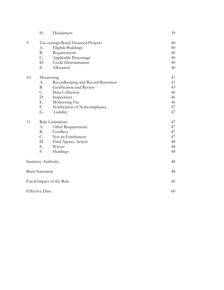|                        | Н.                                | Disclaimers                        | 39 |
|------------------------|-----------------------------------|------------------------------------|----|
| 9.                     | Tax-exempt Bond Financed Projects |                                    | 40 |
|                        | A.                                | Eligible Buildings                 | 40 |
|                        | <b>B.</b>                         | Requirements                       | 40 |
|                        | C.                                | Applicable Percentage              | 40 |
|                        | D.                                | Credit Determination               | 40 |
|                        | Ε.                                | Allocation                         | 40 |
| 10.                    |                                   | Monitoring                         | 41 |
|                        | А.                                | Recordkeeping and Record Retention | 41 |
|                        | <b>B.</b>                         | Certification and Review           | 43 |
|                        | C.                                | Data Collection                    | 46 |
|                        | D.                                | Inspections                        | 46 |
|                        | Ε.                                | Monitoring Fee                     | 46 |
|                        | F.                                | Notification of Noncompliance      | 47 |
|                        | G.                                | Liability                          | 47 |
| 11.                    |                                   | Rule Limitations                   | 47 |
|                        | A.                                | Other Requirements                 | 47 |
|                        | <b>B.</b>                         | Conflicts                          | 47 |
|                        | C.                                | Not an Entitlement                 | 47 |
|                        | D.                                | Final Agency Action                | 48 |
|                        | Ε.                                | Waiver                             | 48 |
|                        | F.                                | Headings                           | 48 |
|                        |                                   | <b>Statutory Authority</b>         | 48 |
| <b>Basis Statement</b> |                                   | 48                                 |    |
|                        |                                   | Fiscal Impact of the Rule          | 60 |
| <b>Effective Date</b>  |                                   | 60                                 |    |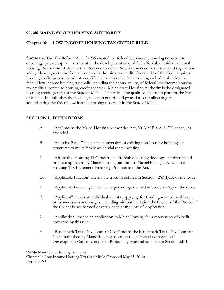## **99-346 MAINE STATE HOUSING AUTHORITY**

## **Chapter 16**: **LOW-INCOME HOUSING TAX CREDIT RULE**

**Summary**: The Tax Reform Act of 1986 created the federal low-income housing tax credit to encourage private capital investment in the development of qualified affordable residential rental housing. Section 42 of the Internal Revenue Code of 1986, as amended, and associated regulations and guidance govern the federal low-income housing tax credit. Section 42 of the Code requires housing credit agencies to adopt a qualified allocation plan for allocating and administering the federal low-income housing tax credit, including the annual ceiling of federal low-income housing tax credits allocated to housing credit agencies. Maine State Housing Authority is the designated housing credit agency for the State of Maine. This rule is the qualified allocation plan for the State of Maine. It establishes the policies, selection criteria and procedures for allocating and administering the federal low-income housing tax credit in the State of Maine.

## **SECTION 1: DEFINITIONS**

- A. "Act" means the Maine Housing Authorities Act, 30-A M.R.S.A. §4701 et seq., as amended.
- B. "Adaptive Reuse" means the conversion of existing non-housing buildings or structures to multi-family residential rental housing.
- C. "Affordable Housing TIF" means an affordable housing development district and program approved by MaineHousing pursuant to MaineHousing's Affordable Housing Tax Increment Financing Program and the Act.
- D. "Applicable Fraction" means the fraction defined in Section 42(c)(1)(B) of the Code.
- E. "Applicable Percentage" means the percentage defined in Section 42(b) of the Code.
- F. "Applicant" means an individual or entity applying for Credit governed by this rule or its successors and assigns, including without limitation the Owner of the Project if the Owner is not formed or established at the time of Application.
- G. "Application" means an application to MaineHousing for a reservation of Credit governed by this rule.
- H. "Benchmark Total Development Cost" means the benchmark Total Development Cost established by MaineHousing based on the historical average Total Development Cost of completed Projects by type and set forth in Section 6.B.1.

99-346 Maine State Housing Authority

Chapter 16 Low-Income Housing Tax Credit Rule (Proposed May 15, 2012) Page 1 of 60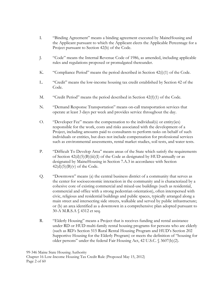- I. "Binding Agreement" means a binding agreement executed by MaineHousing and the Applicant pursuant to which the Applicant elects the Applicable Percentage for a Project pursuant to Section 42(b) of the Code.
- J. "Code" means the Internal Revenue Code of 1986, as amended, including applicable rules and regulations proposed or promulgated thereunder.
- K. "Compliance Period" means the period described in Section 42(i)(1) of the Code.
- L. "Credit" means the low-income housing tax credit established by Section 42 of the Code.
- M. "Credit Period" means the period described in Section  $42(f)(1)$  of the Code.
- N. "Demand Response Transportation" means on-call transportation services that operate at least 3 days per week and provides service throughout the day.
- O. "Developer Fee" means the compensation to the individual(s) or entity(ies) responsible for the work, costs and risks associated with the development of a Project, including amounts paid to consultants to perform tasks on behalf of such individuals or entities, but does not include compensation for professional services such as environmental assessments, rental market studies, soil tests, and water tests.
- P. "Difficult To Develop Area" means areas of the State which satisfy the requirements of Section  $42(d)(5)(B)(iii)(I)$  of the Code as designated by HUD annually or as designated by MaineHousing in Section 7.A.3 in accordance with Section  $42(d)(5)(B)(v)$  of the Code.
- Q. "Downtown" means (a) the central business district of a community that serves as the center for socioeconomic interaction in the community and is characterized by a cohesive core of existing commercial and mixed-use buildings (such as residential, commercial and office with a strong pedestrian orientation), often interspersed with civic, religious and residential buildings and public spaces, typically arranged along a main street and intersecting side streets, walkable and served by public infrastructure; or (b) an area identified as a downtown in a comprehensive plan adopted pursuant to 30-A M.R.S.A § 4312 et seq.
- R. "Elderly Housing" means a Project that is receives funding and rental assistance under RD or HUD multi-family rental housing programs for persons who are elderly (such as RD's Section 515 Rural Rental Housing Program and HUD's Section 202 Supportive Housing for the Elderly Program) or meets the definition of "housing for older persons" under the federal Fair Housing Act, 42 U.S.C. § 3607(b)(2).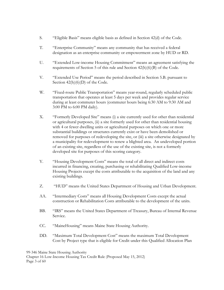- S. "Eligible Basis" means eligible basis as defined in Section 42(d) of the Code.
- T. "Enterprise Community" means any community that has received a federal designation as an enterprise community or empowerment zone by HUD or RD.
- U. "Extended Low-income Housing Commitment" means an agreement satisfying the requirements of Section 5 of this rule and Section 42(h)(6)(B) of the Code.
- V. "Extended Use Period" means the period described in Section 5.B. pursuant to Section  $42(h)(6)(D)$  of the Code.
- W. "Fixed-route Public Transportation" means year-round, regularly scheduled public transportation that operates at least 5 days per week and provides regular service during at least commuter hours (commuter hours being 6:30 AM to 9:30 AM and 3:00 PM to 6:00 PM daily).
- X. "Formerly Developed Site" means (i) a site currently used for other than residential or agricultural purposes, (ii) a site formerly used for other than residential housing with 4 or fewer dwelling units or agricultural purposes on which one or more substantial buildings or structures currently exist or have been demolished or removed for purposes of redeveloping the site, or (iii) a site otherwise designated by a municipality for redevelopment to renew a blighted area. An undeveloped portion of an existing site, regardless of the use of the existing site, is not a formerly developed site for purposes of this scoring category.
- Y. "Housing Development Costs" means the total of all direct and indirect costs incurred in financing, creating, purchasing or rehabilitating Qualified Low-income Housing Projects except the costs attributable to the acquisition of the land and any existing buildings.
- Z. "HUD" means the United States Department of Housing and Urban Development.
- AA. "Intermediary Costs" means all Housing Development Costs except the actual construction or Rehabilitation Costs attributable to the development of the units.
- BB. "IRS" means the United States Department of Treasury, Bureau of Internal Revenue Service.
- CC. "MaineHousing" means Maine State Housing Authority.
- DD. "Maximum Total Development Cost" means the maximum Total Development Cost by Project type that is eligible for Credit under this Qualified Allocation Plan

99-346 Maine State Housing Authority Chapter 16 Low-Income Housing Tax Credit Rule (Proposed May 15, 2012) Page 3 of 60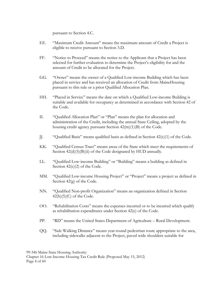pursuant to Section 4.C.

- EE. "Maximum Credit Amount" means the maximum amount of Credit a Project is eligible to receive pursuant to Section 3.D.
- FF. "Notice to Proceed" means the notice to the Applicant that a Project has been selected for further evaluation to determine the Project's eligibility for and the amount of Credit to be allocated for the Project.
- GG. "Owner" means the owner of a Qualified Low-income Building which has been placed in service and has received an allocation of Credit from MaineHousing pursuant to this rule or a prior Qualified Allocation Plan.
- HH. "Placed in Service" means the date on which a Qualified Low-income Building is suitable and available for occupancy as determined in accordance with Section 42 of the Code.
- II. "Qualified Allocation Plan" or "Plan" means the plan for allocation and administration of the Credit, including the annual State Ceiling, adopted by the housing credit agency pursuant Section 42(m)(1)(B) of the Code.
- JJ. "Qualified Basis" means qualified basis as defined in Section 42(c)(1) of the Code.
- KK. "Qualified Census Tract" means areas of the State which meet the requirements of Section  $42(d)(5)(B)(ii)$  of the Code designated by HUD annually.
- LL. "Qualified Low-income Building" or "Building" means a building as defined in Section  $42(c)(2)$  of the Code.
- MM. "Qualified Low-income Housing Project" or "Project" means a project as defined in Section 42(g) of the Code.
- NN. "Qualified Non-profit Organization" means an organization defined in Section  $42(h)(5)(C)$  of the Code.
- OO. "Rehabilitation Costs" means the expenses incurred or to be incurred which qualify as rehabilitation expenditures under Section 42(e) of the Code.
- PP. "RD" means the United States Department of Agriculture Rural Development.
- QQ. "Safe Walking Distance" means year-round pedestrian route appropriate to the area, including sidewalks adjacent to the Project, paved wide shoulders suitable for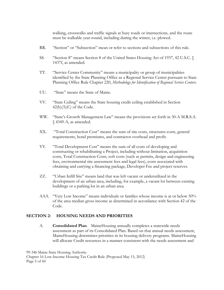walking, crosswalks and traffic signals at busy roads or intersections, and the route must be walkable year-round, including during the winter, i.e. plowed.

- RR. "Section" or "Subsection" mean or refer to sections and subsections of this rule.
- SS. "Section 8" means Section 8 of the United States Housing Act of 1937, 42 U.S.C. § 1437f, as amended.
- TT. "Service Center Community" means a municipality or group of municipalities identified by the State Planning Office as a Regional Service Center pursuant to State Planning Office Rule Chapter 220, *Methodology for Identification of Regional Service Centers*.
- UU. "State" means the State of Maine.
- VV. "State Ceiling" means the State housing credit ceiling established in Section  $42(h)(3)(C)$  of the Code.
- WW. "State's Growth Management Law" means the provisions set forth in 30-A M.R.S.A. § 4349-A, as amended.
- XX. "Total Construction Cost" means the sum of site costs, structures costs, general requirements, bond premiums, and contractor overhead and profit.
- YY. "Total Development Cost" means the sum of all costs of developing and constructing or rehabilitating a Project, including without limitation, acquisition costs, Total Construction Costs, soft costs (such as permits, design and engineering fees, environmental site assessment fees and legal fees), costs associated with obtaining and carrying a financing package, Developer Fee and project reserves.
- ZZ. "Urban Infill Site" means land that was left vacant or underutilized in the development of an urban area, including, for example, a vacant lot between existing buildings or a parking lot in an urban area.
- AAA. "Very Low Income" means individuals or families whose income is at or below 50% of the area median gross income as determined in accordance with Section 42 of the Code.

#### **SECTION 2: HOUSING NEEDS AND PRIORITIES**

A. **Consolidated Plan**. MaineHousing annually completes a statewide needs assessment as part of its Consolidated Plan. Based on that annual needs assessment, MaineHousing determines priorities in its housing delivery programs. MaineHousing will allocate Credit resources in a manner consistent with the needs assessment and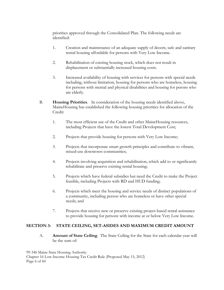priorities approved through the Consolidated Plan. The following needs are identified:

- 1. Creation and maintenance of an adequate supply of decent, safe and sanitary rental housing affordable for persons with Very Low Income.
- 2. Rehabilitation of existing housing stock, which does not result in displacement or substantially increased housing costs.
- 3. Increased availability of housing with services for persons with special needs including, without limitation, housing for persons who are homeless, housing for persons with mental and physical disabilities and housing for perons who are elderly.
- B. **Housing Priorities**. In consideration of the housing needs identified above, MaineHousing has established the following housing priorities for allocation of the Credit:
	- 1. The most efficient use of the Credit and other MaineHousing resources, including Projects that have the lowest Total Development Cost;
	- 2. Projects that provide housing for persons with Very Low Income;
	- 3. Projects that incorporate smart growth principles and contribute to vibrant, mixed-use downtown communities;
	- 4. Projects involving acquisition and rehabilitation, which add to or significantly rehabilitate and preserve existing rental housing;
	- 5. Projects which have federal subsidies but need the Credit to make the Project feasible, including Projects with RD and HUD funding;
	- 6. Projects which meet the housing and service needs of distinct populations of a community, including person who are homeless or have other special needs; and
	- 7. Projects that receive new or preserve existing project-based rental assistance to provide housing for persons with income at or below Very Low Income.

# **SECTION 3: STATE CEILING, SET-ASIDES AND MAXIMUM CREDIT AMOUNT**

A. **Amount of State Ceiling**. The State Ceiling for the State for each calendar year will be the sum of:

99-346 Maine State Housing Authority Chapter 16 Low-Income Housing Tax Credit Rule (Proposed May 15, 2012) Page 6 of 60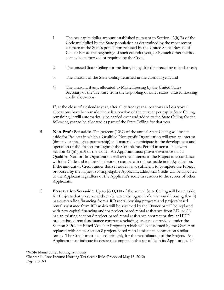- 1. The per-capita dollar amount established pursuant to Section 42(h)(3) of the Code multiplied by the State population as determined by the most recent estimate of the State's population released by the United States Bureau of Census before the beginning of such calendar year, or by such other method as may be authorized or required by the Code;
- 2. The unused State Ceiling for the State, if any, for the preceding calendar year;
- 3. The amount of the State Ceiling returned in the calendar year; and
- 4. The amount, if any, allocated to MaineHousing by the United States Secretary of the Treasury from the re-pooling of other states' unused housing credit allocations.

If, at the close of a calendar year, after all current year allocations and carryover allocations have been made, there is a portion of the current per capita State Ceiling remaining, it will automatically be carried over and added to the State Ceiling for the following year to be allocated as part of the State Ceiling for that year.

- B. **Non-Profit Set-aside**. Ten percent (10%) of the annual State Ceiling will be set aside for Projects in which a Qualified Non-profit Organization will own an interest (directly or through a partnership) and materially participate in the development and operation of the Project throughout the Compliance Period in accordance with Section 42 (h)(5)(B) of the Code. An Applicant must provide evidence that a Qualified Non-profit Organization will own an interest in the Project in accordance with the Code and indicate its desire to compete in this set-aside in its Application. If the amount of Credit under this set-aside is not sufficient to complete the Project proposed by the highest-scoring eligible Applicant, additional Credit will be allocated to the Applicant regardless of the Applicant's score in relation to the scores of other Applicants.
- C. **Preservation Set-aside**. Up to \$500,000 of the annual State Ceiling will be set aside for Projects that preserve and rehabilitate existing multi-family rental housing that (i) has outstanding financing from a RD rental housing program and project-based rental assistance from RD which will be assumed by the Owner or will be replaced with new capital financing and/or project-based rental assistance from RD, or (ii) has an existing Section 8 project-based rental assistance contract or similar HUD project-based rental assistance contract (excluding assistance provided under the Section 8 Project-Based Voucher Program) which will be assumed by the Owner or replaced with a new Section 8 project-based rental assistance contract on similar terms. The Credit must be used primarily for the rehabilitation of the Project. An Applicant must indicate its desire to compete in this set-aside in its Application. If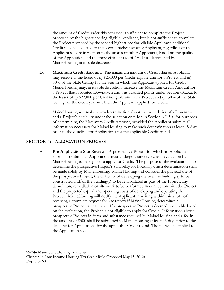the amount of Credit under this set-aside is sufficient to complete the Project proposed by the highest-scoring eligible Applicant, but is not sufficient to complete the Project proposed by the second highest-scoring eligible Applicant, additional Credit may be allocated to the second highest-scoring Applicant, regardless of the Applicant's score in relation to the scores of other Applicants, based on the quality of the Application and the most efficient use of Credit as determined by MaineHousing in its sole discretion.

D. **Maximum Credit Amount**. The maximum amount of Credit that an Applicant may receive is the lesser of (i) \$20,000 per Credit-eligible unit for a Project and (ii) 30% of the State Ceiling for the year in which the Applicant applied for Credit. MaineHousing may, in its sole discretion, increase the Maximum Credit Amount for a Project that is located Downtown and was awarded points under Section 6.C.5.a. to the lesser of (i) \$22,000 per Credit-eligible unit for a Project and (ii) 30% of the State Ceiling for the credit year in which the Applicant applied for Credit.

MaineHousing will make a pre-determination about the boundaries of a Downtown and a Project's eligibility under the selection criterion in Section 6.C.5.a. for purposes of determining the Maximum Credit Amount, provided the Applicant submits all information necessary for MaineHousing to make such determination at least 15 days prior to the deadline for Applications for the applicable Credit round.

#### **SECTION 4: ALLOCATION PROCESS**

A. **Pre-Application Site Review**. A prospective Project for which an Applicant expects to submit an Application must undergo a site review and evaluation by MaineHousing to be eligible to apply for Credit. The purpose of the evaluation is to determine the prospective Project's suitability for housing, which determination shall be made solely by MaineHousing. MaineHousing will consider the physical site of the prospective Project, the difficulty of developing the site, the building(s) to be constructed and/or the building(s) to be rehabilitated as part of the Project, any demolition, remediation or site work to be performed in connection with the Project and the projected capital and operating costs of developing and operating the Project. MaineHousing will notify the Applicant in writing within thirty (30) of receiving a complete request for site review if MaineHousing determines a prospective Project is unsuitable. If a prospective Project is deemed unsuitable based on the evaluation, the Project is not eligible to apply for Credit. Information about prospective Projects in form and substance required by MaineHousing and a fee in the amount of \$500 shall be submitted to MaineHousing at least 45 days prior to the deadline for Applications for the applicable Credit round. The fee will be applied to the Application fee.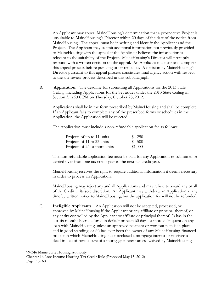An Applicant may appeal MaineHousing's determination that a prospective Project is unsuitable to MaineHousing's Director within 20 days of the date of the notice from MaineHousing. The appeal must be in writing and identify the Applicant and the Project. The Applicant may submit additional information not previously provided to MaineHousing with the appeal if the Applicant believes the information is relevant to the suitability of the Project. MaineHousing's Director will promptly respond with a written decision on the appeal. An Applicant must use and complete this appeal process before pursuing other remedies. A decision by MaineHousing's Director pursuant to this appeal process constitutes final agency action with respect to the site review process described in this subparagraph.

B. **Application**. The deadline for submitting all Applications for the 2013 State Ceiling, including Applications for the Set-asides under the 2013 State Ceiling in Section 3, is 5:00 PM on Thursday, October 25, 2012.

Applications shall be in the form prescribed by MaineHousing and shall be complete. If an Applicant fails to complete any of the prescribed forms or schedules in the Application, the Application will be rejected.

The Application must include a non-refundable application fee as follows:

| Projects of up to 11 units   | \$250   |
|------------------------------|---------|
| Projects of 11 to 23 units   | \$ 500  |
| Projects of 24 or more units | \$1,000 |

The non-refundable application fee must be paid for any Application re-submitted or carried over from one tax credit year to the next tax credit year.

MaineHousing reserves the right to require additional information it deems necessary in order to process an Application.

MaineHousing may reject any and all Applications and may refuse to award any or all of the Credit in its sole discretion. An Applicant may withdraw an Application at any time by written notice to MaineHousing, but the application fee will not be refunded.

C. **Ineligible Applicants**. An Application will not be accepted, processed, or approved by MaineHousing if the Applicant or any affiliate or principal thereof, or any entity controlled by the Applicant or affiliate or principal thereof, (i) has in the last six months been declared in default or been 60 days or more delinquent on any loan with MaineHousing unless an approved payment or workout plan is in place and in good standing; or (ii) has ever been the owner of any MaineHousing-financed project in which MaineHousing has foreclosed a mortgage interest or received a deed-in-lieu of foreclosure of a mortgage interest unless waived by MaineHousing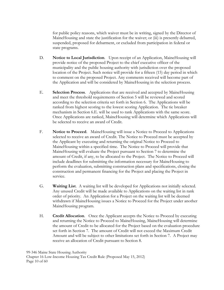for public policy reasons, which waiver must be in writing, signed by the Director of MaineHousing and state the justification for the waiver; or (iii) is presently debarred, suspended, proposed for debarment, or excluded from participation in federal or state programs.

- D. **Notice to Local Jurisdiction**. Upon receipt of an Application, MaineHousing will provide notice of the proposed Project to the chief executive officer of the municipality and the public housing authority with jurisdiction over the proposed location of the Project. Such notice will provide for a fifteen (15) day period in which to comment on the proposed Project. Any comments received will become part of the Application and will be considered by MaineHousing in the selection process.
- E. **Selection Process**. Applications that are received and accepted by MaineHousing and meet the threshold requirements of Section 5 will be reviewed and scored according to the selection criteria set forth in Section 6. The Applications will be ranked from highest scoring to the lowest scoring Application. The tie breaker mechanism in Section 6.E. will be used to rank Applications with the same score. Once Applications are ranked, MaineHousing will determine which Applications will be selected to receive an award of Credit.
- F. **Notice to Proceed**. MaineHousing will issue a Notice to Proceed to Applications selected to receive an award of Credit. The Notice to Proceed must be accepted by the Applicant by executing and returning the original Notice to Proceed to MaineHousing within a specified time. The Notice to Proceed will provide that MaineHousing will evaluate the Project pursuant to Section 7 to determine the amount of Credit, if any, to be allocated to the Project. The Notice to Proceed will include deadlines for submitting the information necessary for MaineHousing to perform the evaluation, submitting construction plans and specifications, closing the construction and permanent financing for the Project and placing the Project in service.
- G. **Waiting List**. A waiting list will be developed for Applications not initially selected. Any unused Credit will be made available to Applications on the waiting list in rank order of priority. An Application for a Project on the waiting list will be deemed withdrawn if MaineHousing issues a Notice to Proceed for the Project under another MaineHousing program.
- H. **Credit Allocation**. Once the Applicant accepts the Notice to Proceed by executing and returning the Notice to Proceed to MaineHousing, MaineHousing will determine the amount of Credit to be allocated for the Project based on the evaluation procedure set forth in Section 7. The amount of Credit will not exceed the Maximum Credit Amount and will be subject to other limitations set forth in Section 7. A Project may receive an allocation of Credit pursuant to Section 8.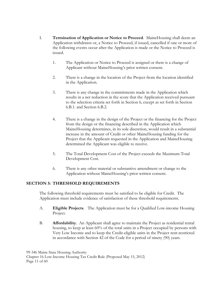- I. **Termination of Application or Notice to Proceed**. MaineHousing shall deem an Application withdrawn or, a Notice to Proceed, if issued, cancelled if one or more of the following events occur after the Application is made or the Notice to Proceed is issued.
	- 1. The Application or Notice to Proceed is assigned or there is a change of Applicant without MaineHousing's prior written consent.
	- 2. There is a change in the location of the Project from the location identified in the Application.
	- 3. There is any change in the commitments made in the Application which results in a net reduction in the score that the Application received pursuant to the selection criteria set forth in Section 6, except as set forth in Section 6.B.1. and Section 6.B.2.
	- 4. There is a change in the design of the Project or the financing for the Project from the design or the financing described in the Application which MaineHousing determines, in its sole discretion, would result in a substantial increase in the amount of Credit or other MaineHousing funding for the Project that the Applicant requested in the Application and MaineHousing determined the Applicant was eligible to receive.
	- 5. The Total Development Cost of the Project exceeds the Maximum Total Development Cost.
	- 6. There is any other material or substantive amendment or change to the Application without MaineHousing's prior written consent.

# **SECTION 5: THRESHOLD REQUIREMENTS**

 The following threshold requirements must be satisfied to be eligible for Credit. The Application must include evidence of satisfaction of these threshold requirements.

- A. **Eligible Projects**. The Application must be for a Qualified Low-income Housing Project.
- B. **Affordability**. An Applicant shall agree to maintain the Project as residential rental housing, to keep at least 60% of the total units in a Project occupied by persons with Very Low Income and to keep the Credit-eligible units in the Project rent-restricted in accordance with Section 42 of the Code for a period of ninety (90) years.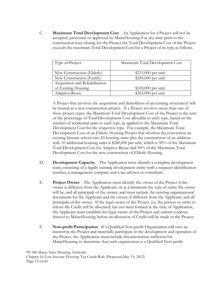C. **Maximum Total Development Cost**. An Application for a Project will not be accepted, processed or approved by MaineHousing if at any time prior to the construction loan closing for the Project the Total Development Cost of the Project exceeds the maximum Total Development Cost for a Project of its type as follows.

| Type of Project                | Maximum Total Development Cost |
|--------------------------------|--------------------------------|
| New Construction (Elderly)     | \$215,000 per unit             |
| New Construction (Family)      | \$240,000 per unit             |
| Acquisition and Rehabilitation |                                |
| of Existing Housing            | $$150,000$ per unit            |
| <b>Adaptive Reuse</b>          | $$265,000$ per unit            |

A Project that involves the acquisition and demolition of an existing structure(s) will be treated as a new construction project. If a Project involves more than one of these project types, the Maximum Total Development Cost of the Project is the sum of the percentage of Total Development Cost allocable to each type, based on the number of residential units in each type, as applied to the Maximum Total Development Cost for the respective type. For example, the Maximum Total Development Cost of an Elderly Housing Project that involves the conversion an existing historic school into 10 housing units plus the construction of an addition with 10 additional housing units is \$240,000 per unit, which is 50% of the Maximum Total Development Cost for Adaptive Reuse and 50% of the Maximum Total Development Cost for the new construction of Elderly Housing.

- D. **Development Capacity**. The Application must identify a complete development team consisting of a legally existing development entity with a taxpayer identification number, a management company and a tax advisor or consultant.
- E. **Project Owner**. The Application must identify the owner of the Project if the owner is different from the Applicant, or at a minimum the type of entity the owner will be, and all principals of the owner, and must include the existing organizational documents for the Applicant and the owner, if different from the Applicant, and all principals of the owner. If the legal owner of the Project (i.e. the person or entity to whom the Credit will be allocated) has not been formed at the time of Application, the Applicant must establish the legal owner of the Project and submit evidence thereof to MaineHousing before an allocation of Credit will be made to the Project.
- F. **Non-profit Participation**. If a Qualified Non-profit Organization will own an interest in the Project and materially participate in the development and operation of the Project, the Application must include documentation sufficient for MaineHousing to determine that such organization is a Qualified Non-profit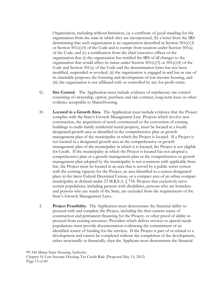Organization, including without limitation, (a) a certificate of good standing for the organization from the state in which they are incorporated, (b) a letter from the IRS determining that such organization is an organization described in Section  $501(c)(3)$ or Section  $501(c)(4)$  of the Code and is exempt from taxation under Section  $501(a)$ of the Code, and (c) a certification from the chief executive officer of the organization that (i) the organization has notified the IRS of all changes to the organization that would affect its status under Section  $501(c)(3)$  or  $501(c)(4)$  of the Code and Section 501(a) of the Code and the determination letter has not been modified, suspended or revoked, (ii) the organization is engaged in and has as one of its charitable purposes the fostering and development of low-income housing, and (iii) the organization is not affiliated with or controlled by any for-profit entity.

- G. **Site Control**. The Application must include evidence of satisfactory site control consisting of ownership, option, purchase and sale contract, long-term lease or other evidence acceptable to MaineHousing.
- H. **Located in a Growth Area**. The Application must include evidence that the Project complies with the State's Growth Management Law. Projects which involve new construction, the acquisition of newly-constructed or the conversion of existing buildings to multi-family residential rental property, must be located in a locally designated growth area as identified in the comprehensive plan or growth management plan of the municipality in which the Project is located. If a Project is not located in a designated growth area in the comprehensive or growth management plan of the municipality in which it is located, the Project is not eligible for Credit. If the municipality in which the Project is located has not adopted a comprehensive plan or a growth management plan or the comprehensive or growth management plan adopted by the municipality is not consistent with applicable State law, the Project must be located in an area that is served by a public sewer system with the existing capacity for the Project, an area identified as a census-designated place in the latest Federal Decennial Census, or a compact area of an urban compact municipality as defined under 23 M.R.S.A. § 754. Projects that exclusively serve certain populations, including persons with disabilities, persons who are homeless and persons who are wards of the State, are excluded from the requirements of the State's Growth Management Laws.
- I. **Project Feasibility**. The Application must demonstrate the financial ability to proceed with and complete the Project, including the then current status of construction and permanent financing for the Project, or other proof of ability to proceed from existing resources. Providers which deliver services to special needs populations must provide documentation evidencing the commitment of an identified source of funding for the services. If the Project is part of or related to a development and cannot be completed without the completion of the development, either structurally or financially, then the Applicant must demonstrate the financial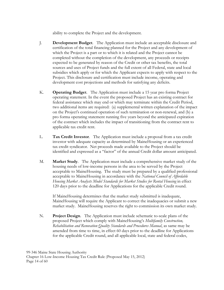ability to complete the Project and the development.

- J. **Development Budget**. The Application must include an acceptable disclosure and certification of the total financing planned for the Project and any development of which the Project is a part or to which it is related and the Project cannot be completed without the completion of the development, any proceeds or receipts expected to be generated by reason of the Credit or other tax benefits, the total sources and uses of Project funds and the full extent of all Federal, state and local subsidies which apply or for which the Applicant expects to apply with respect to the Project. This disclosure and certification must include income, operating and development cost projections and methods for satisfying any deficits.
- K. **Operating Budget**. The Application must include a 15 year pro forma Project operating statement. In the event the proposed Project has an existing contract for federal assistance which may end or which may terminate within the Credit Period, two additional items are required: (a) supplemental written explanation of the impact on the Project's continued operation of such termination or non-renewal, and (b) a pro forma operating statement running five years beyond the anticipated expiration of the contract which includes the impact of transitioning from the contract rent to applicable tax credit rent.
- L. **Tax Credit Investor**. The Application must include a proposal from a tax credit investor with adequate capacity as determined by MaineHousing or an experienced tax credit syndicator. Net proceeds made available to the Project should be identified and expressed as a "factor" of the annual Credit dollar amount anticipated.
- M. **Market Study**. The Application must include a comprehensive market study of the housing needs of low-income persons in the area to be served by the Project acceptable to MaineHousing. The study must be prepared by a qualified professional acceptable to MaineHousing in accordance with the *National Council of Affordable Housing Market Analysts Model Standards for Market Studies for Rental Housing* in effect 120 days prior to the deadline for Applications for the applicable Credit round.

If MaineHousing determines that the market study submitted is inadequate, MaineHousing will require the Applicant to correct the inadequacies or submit a new market study. MaineHousing reserves the right to commission its own market study.

N. **Project Design**. The Application must include schematic to-scale plans of the proposed Project which comply with MaineHousing's *Multifamily Construction, Rehabilitation and Renovation Quality Standards and Procedures Manual*, as same may be amended from time to time, in effect 60 days prior to the deadline for Applications for the applicable Credit round, and all applicable local, state and federal codes,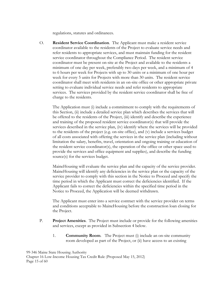regulations, statutes and ordinances.

O. **Resident Service Coordination**. The Applicant must make a resident service coordinator available to the residents of the Project to evaluate service needs and refer residents to appropriate services, and must maintain funding for the resident service coordinator throughout the Compliance Period. The resident service coordinator must be present on-site at the Project and available to the residents a minimum of one day per week, preferably two days per week, and a minimum of 4 to 6 hours per week for Projects with up to 30 units or a minimum of one hour per week for every 5 units for Projects with more than 30 units. The resident service coordinator shall meet with residents in an on-site office or other appropriate private setting to evaluate individual service needs and refer residents to appropriate services. The services provided by the resident service coordinator shall be free of charge to the residents.

The Application must (i) include a commitment to comply with the requirements of this Section, (ii) include a detailed service plan which describes the services that will be offered to the residents of the Project, (iii) identify and describe the experience and training of the proposed resident service coordinator(s) that will provide the services described in the service plan, (iv) identify where the services will be provided to the residents of the project (e.g. on-site office), and (v) include a services budget of all costs associated with offering the services in the service plan (including without limitation the salary, benefits, travel, orientation and ongoing training or education of the resident service coordinator(s), the operation of the office or other space used to provide the services and office equipment and supplies), and describe the funding source(s) for the services budget.

MaineHousing will evaluate the service plan and the capacity of the service provider. MaineHousing will identify any deficiencies in the service plan or the capacity of the service provider to comply with this section in the Notice to Proceed and specify the time period in which the Applicant must correct the deficiencies identified. If the Applicant fails to correct the deficiencies within the specified time period in the Notice to Proceed, the Application will be deemed withdrawn.

The Applicant must enter into a service contract with the service provider on terms and conditions acceptable to MaineHousing before the construction loan closing for the Project.

- P. **Project Amenities**. The Project must include or provide for the following amenities and services, except as provided in Subsection 4 below.
	- 1. **Community Room**. The Project must (i) include an on-site community room developed as part of the Project, or (ii) have access to an existing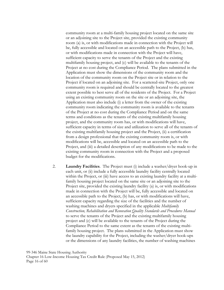community room at a multi-family housing project located on the same site or an adjoining site to the Project site, provided the existing community room (a) is, or with modifications made in connection with the Project will be, fully accessible and located on an accessible path to the Project, (b) has, or with modifications made in connection with the Project will have, sufficient capacity to serve the tenants of the Project and the existing multifamily housing project, and (c) will be available to the tenants of the Project at no cost during the Compliance Period. The plans submitted in the Application must show the dimensions of the community room and the location of the community room on the Project site or in relation to the Project if located on an adjoining site. For a scattered-site Project, only one community room is required and should be centrally located to the greatest extent possible to best serve all of the residents of the Project. For a Project using an existing community room on the site or an adjoining site, the Application must also include (i) a letter from the owner of the existing community room indicating the community room is available to the tenants of the Project at no cost during the Compliance Period and on the same terms and conditions as the tenants of the existing multifamily housing project, and the community room has, or with modifications will have, sufficient capacity in terms of size and utilization to serve all of the tenants of the existing multifamily housing project and the Project, (ii) a certification from a design professional that the existing community room is, or with modifications will be, accessible and located on an accessible path to the Project, and (iii) a detailed description of any modifications to be made to the existing community room in connection with the Project and a proposed budget for the modifications.

2. **Laundry Facilities**. The Project must (i) include a washer/dryer hook-up in each unit, or (ii) include a fully accessible laundry facility centrally located within the Project, or (iii) have access to an existing laundry facility at a multifamily housing project located on the same site or an adjoining site to the Project site, provided the existing laundry facility (a) is, or with modifications made in connection with the Project will be, fully accessible and located on an accessible path to the Project, (b) has, or with modifications will have, sufficient capacity regarding the size of the facilities and the number of washing machines and dryers specified in the applicable *Multifamily Construction, Rehabilitation and Renovation Quality Standards and Procedures Manual* to serve the tenants of the Project and the existing multifamily housing project and (c) will be available to the tenants of the Project during the Compliance Period to the same extent as the tenants of the existing multifamily housing project. The plans submitted in the Application must show the laundry capability for the Project, including the washer/dryer hook-ups or the dimensions of any laundry facilities, the number of washing machines

99-346 Maine State Housing Authority Chapter 16 Low-Income Housing Tax Credit Rule (Proposed May 15, 2012) Page 16 of 60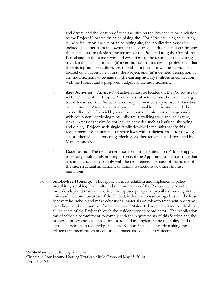and dryers, and the location of such facilities on the Project site or in relation to the Project if located on an adjoining site. For a Project using an existing laundry facility on the site or an adjoining site, the Application must also include (i) a letter from the owner of the existing laundry facilities confirming the facilities are available to the tenants of the Project during the Compliance Period and on the same terms and conditions as the tenants of the existing multifamily housing project; (ii) a certification from a design professional that the existing laundry facilities are, or with modifications will be, accessible and located on an accessible path to the Project, and (iii) a detailed description of any modifications to be made to the existing laundry facilities in connection with the Project and a proposed budget for the modifications.

- 3. **Area Activities**. An area(s) of activity must be located on the Project site or within  $\frac{1}{2}$  mile of the Project. Such area(s) of activity must be free of charge to the tenants of the Project and not require membership to use the facilities or equipment. Areas for activity are recreational in nature and include but are not limited to ball-fields, basketball courts, tennis courts, playgrounds with equipment, gardening plots, bike trails, walking trails and ice-skating rinks. Areas of activity do not include activities such as banking, shopping and dining. Projects with single-family detached style units satisfy this requirement if each unit has a private lawn with sufficient room for a swing set or other play equipment, gardening or other activities, as determined by MaineHousing.
- 4. **Exceptions**. The requirements set forth in the Subsection P do not apply to existing multifamily housing projects if the Applicant can demonstrate that it is impracticable to comply with the requirements because of the nature of the site, structural limitations, or zoning restrictions or other land use limitations.
- Q. **Smoke-free Housing**. The Applicant must establish and implement a policy prohibiting smoking in all units and common areas of the Project. The Applicant must develop and maintain a written occupancy policy that prohibits smoking in the units and the common areas of the Project, include a non-smoking clause in the lease for every household and make educational materials on tobacco treatment programs, including the phone number for the statewide Maine Tobacco HelpLine, available to all residents of the Project through the resident service coordinator. The Application must include a commitment to comply with the requirements of this Section and the proposed policy and lease provision or addendum implementing the policy, and the detailed service plan required pursuant to Section 5.O. shall include making the tobacco treatment program educational materials available to residents.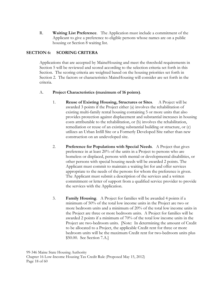R. **Waiting List Preference**. The Application must include a commitment of the Applicant to give a preference to eligible persons whose names are on a public housing or Section 8 waiting list.

# **SECTION 6: SCORING CRITERA**

 Applications that are accepted by MaineHousing and meet the threshold requirements in Section 5 will be reviewed and scored according to the selection criteria set forth in this Section. The scoring criteria are weighted based on the housing priorities set forth in Section 2. The factors or characteristics MaineHousing will consider are set forth in the criteria.

#### A. **Project Characteristics (maximum of 16 points)**.

- 1. **Reuse of Existing Housing, Structures or Sites**. A Project will be awarded 3 points if the Project either (a) involves the rehabilitation of existing multi-family rental housing containing 5 or more units that also provides protection against displacement and substantial increases in housing costs attributable to the rehabilitation, or (b) involves the rehabilitation, remediation or reuse of an existing substantial building or structure, or (c) utilizes an Urban Infill Site or a Formerly Developed Site rather than new construction on an undeveloped site.
- 2. **Preference for Populations with Special Needs**. A Project that gives preference in at least 20% of the units in a Project to persons who are homeless or displaced, persons with mental or developmental disabilities, or other persons with special housing needs will be awarded 2 points. The Applicant must commit to maintain a waiting list for and offer services appropriate to the needs of the persons for whom the preference is given. The Applicant must submit a description of the services and a written commitment or letter of support from a qualified service provider to provide the services with the Application.
- 3. **Family Housing**. A Project for families will be awarded 4 points if a minimum of 50% of the total low income units in the Project are two or more bedroom units and a minimum of 20% of the total low income units in the Project are three or more bedroom units. A Project for families will be awarded 2 points if a minimum of 70% of the total low income units in the Project are two-bedroom units. [Note: In determining the amount of Credit to be allocated to a Project, the applicable Credit rent for three or more bedroom units will be the maximum Credit rent for two-bedroom units plus \$50.00. See Section 7.A.]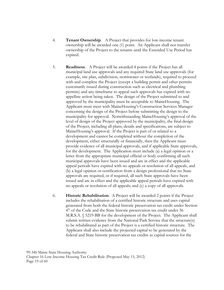- 4. **Tenant Ownership**. A Project that provides for low-income tenant ownership will be awarded one (1) point. An Applicant shall not transfer ownership of the Project to the tenants until the Extended Use Period has expired.
- 5. **Readiness**. A Project will be awarded 4 points if the Project has all municipal land use approvals and any required State land use approvals (for example, site plan, subdivision, stormwater or wetlands), required to proceed with and complete the Project (except a building permit and other permits customarily issued during construction such as electrical and plumbing permits) and any timeframe to appeal such approvals has expired with no appellate action being taken. The design of the Project submitted to and approved by the municipality must be acceptable to MaineHousing. The Applicant must meet with MaineHousing's Construction Services Manager concerning the design of the Project before submitting the design to the municipality for approval. Notwithstanding MaineHousing's approval of the level of design of the Project approved by the municipality, the final design of the Project, including all plans, details and specifications, are subject to MaineHousing's approval. If the Project is part of or related to a development and cannot be completed without the completion of the development, either structurally or financially, then the Applicant must provide evidence of all municipal approvals, and if applicable State approvals, for the development. The Application must include (a) a legal opinion or a letter from the appropriate municipal official or body confirming all such municipal approvals have been issued and are in effect and the applicable appeal periods have expired with no appeals or resolution of all appeals, and (b) a legal opinion or certification from a design professional that no State approvals are required, or if required, all such State approvals have been issued and are in effect and the applicable appeal periods have expired with no appeals or resolution of all appeals; and (c) a copy of all approvals.
- 6. **Historic Rehabilitation**. A Project will be awarded 2 points if the Project includes the rehabilitation of a certified historic structure and uses capital generated from both the federal historic preservation tax credit under Section 47 of the Code and the State historic preservation tax credit under 36 M.R.S.A. § 5219-BB for the development of the Project. The Applicant shall submit written evidence from the National Park Service that the structure(s) to be rehabilitated as part of the Project is a certified historic structure. The Applicant shall also include the projected capital to be generated by the federal and State historic preservation tax credits as capital sources for the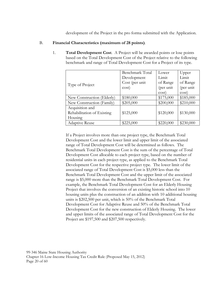development of the Project in the pro forma submitted with the Application.

#### B. **Financial Characteristics (maximum of 28 points)**.

1. **Total Development Cost**. A Project will be awarded points or lose points based on the Total Development Cost of the Project relative to the following benchmark and range of Total Development Cost for a Project of its type.

|                            | Benchmark Total | Lower     | Upper     |
|----------------------------|-----------------|-----------|-----------|
|                            | Development     | Limit     | Limit     |
| Type of Project            | Cost (per unit  | of Range  | of Range  |
|                            | cost)           | (per unit | (per unit |
|                            |                 | cost)     | cost)     |
| New Construction (Elderly) | \$180,000       | \$175,000 | \$185,000 |
| New Construction (Family)  | \$205,000       | \$200,000 | \$210,000 |
| Acquisition and            |                 |           |           |
| Rehabilitation of Existing | \$125,000       | \$120,000 | \$130,000 |
| Housing                    |                 |           |           |
| Adaptive Reuse             | \$225,000       | \$220,000 | \$230,000 |

If a Project involves more than one project type, the Benchmark Total Development Cost and the lower limit and upper limit of the associated range of Total Development Cost will be determined as follows. The Benchmark Total Development Cost is the sum of the percentage of Total Development Cost allocable to each project type, based on the number of residential units in each project type, as applied to the Benchmark Total Development Cost for the respective project type. The lower limit of the associated range of Total Development Cost is \$5,000 less than the Benchmark Total Development Cost and the upper limit of the associated range is \$5,000 more than the Benchmark Total Development Cost. For example, the Benchmark Total Development Cost for an Elderly Housing Project that involves the conversion of an existing historic school into 10 housing units plus the construction of an addition with 10 additional housing units is \$202,500 per unit, which is 50% of the Benchmark Total Development Cost for Adaptive Reuse and 50% of the Benchmark Total Development Cost for the new construction of Elderly Housing. The lower and upper limits of the associated range of Total Development Cost for the Project are \$197,500 and \$207,500 respectively.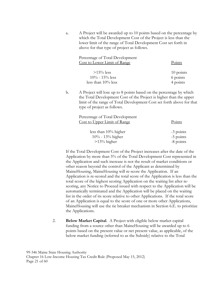a. A Project will be awarded up to 10 points based on the percentage by which the Total Development Cost of the Project is less than the lower limit of the range of Total Development Cost set forth in above for that type of project as follows.

| Percentage of Total Development<br>Cost to Lower Limit of Range | Points    |
|-----------------------------------------------------------------|-----------|
| $>15\%$ less                                                    | 10 points |
| $10\% - 15\%$ less                                              | 6 points  |
| less than $10\%$ less                                           | 4 points  |

b. A Project will lose up to 8 points based on the percentage by which the Total Development Cost of the Project is higher than the upper limit of the range of Total Development Cost set forth above for that type of project as follows.

| Points      |
|-------------|
|             |
| -3 points   |
| -5 points   |
| $-8$ points |
|             |

If the Total Development Cost of the Project increases after the date of the Application by more than 5% of the Total Development Cost represented in the Application and such increase is not the result of market conditions or other reason beyond the control of the Applicant as determined by MaineHousing, MaineHousing will re-score the Application. If an Application is re-scored and the total score of the Application is less than the total score of the highest scoring Application on the waiting list after rescoring, any Notice to Proceed issued with respect to the Application will be automatically terminated and the Application will be placed on the waiting list in the order of its score relative to other Applications. If the total score of an Application is equal to the score of one or more other Applications, MaineHousing will use the tie breaker mechanism in Section 6.E. to prioritize the Applications.

2. **Below Market Capital**. A Project with eligible below market capital funding from a source other than MaineHousing will be awarded up to 6 points based on the present value or net present value, as applicable, of the below market funding (referred to as the Subsidy) relative to the Total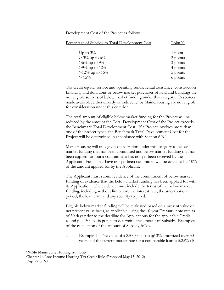Development Cost of the Project as follows.

| Percentage of Subsidy to Total Development Cost                                             | Point(s)                                                |
|---------------------------------------------------------------------------------------------|---------------------------------------------------------|
| Up to $3\%$<br>$> 3\%$ up to 6%<br>$>6\%$ up to 9%<br>$>9\%$ up to 12%<br>$>12\%$ up to 15% | 1 point<br>2 points<br>3 points<br>4 points<br>5 points |
| $> 15\%$                                                                                    | 6 points                                                |

Tax credit equity, service and operating funds, rental assistance, construction financing and donations or below market purchases of land and buildings are not eligible sources of below market funding under this category. Resources made available, either directly or indirectly, by MaineHousing are not eligible for consideration under this criterion.

The total amount of eligible below market funding for the Project will be reduced by the amount the Total Development Cost of the Project exceeds the Benchmark Total Development Cost. If a Project involves more than one of the project types, the Benchmark Total Development Cost for the Project will be determined in accordance with Section 6.B.1.

MaineHousing will only give consideration under this category to below market funding that has been committed and below market funding that has been applied for, but a commitment has not yet been received by the Applicant. Funds that have not yet been committed will be evaluated at 10% of the amount applied for by the Applicant.

The Applicant must submit evidence of the commitment of below market funding or evidence that the below market funding has been applied for with its Application. The evidence must include the terms of the below market funding, including without limitation, the interest rate, the amortization period, the loan term and any security required.

Eligible below market funding will be evaluated based on a present value or net present value basis, as applicable, using the 10-year Treasury note rate as of 30 days prior to the deadline for Applications for the applicable Credit round plus 300 basis points to determine the amount of Subsidy. Examples of the calculation of the amount of Subsidy follow.

a. Example 1 - The value of a \$500,000 loan  $\omega$  3% amortized over 30 years and the current market rate for a comparable loan is 5.25% (10-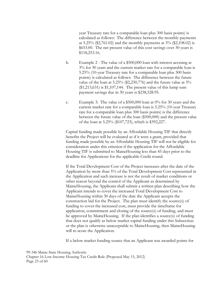year Treasury rate for a comparable loan plus 300 basis points) is calculated as follows: The difference between the monthly payments at 5.25% (\$2,761.02) and the monthly payments at  $3\%$  (\$2,108.02) is \$653.00. The net present value of this cost savings over 30 years is \$118,253.16.

- b. Example 2 The value of a \$500,000 loan with interest accruing at 3% for 30 years and the current market rate for a comparable loan is 5.25% (10-year Treasury rate for a comparable loan plus 300 basis points) is calculated as follows: The difference between the future value of the loan at 5.25% (\$2,230,776) and the future value at 3% (\$1,213,631) is \$1,107,144. The present value of this lump sum payment savings due in 30 years is \$238,528.95.
- c. Example 3: The value of a \$500,000 loan at 0% for 30 years and the current market rate for a comparable loan is 5.25% (10-year Treasury rate for a comparable loan plus 300 basis points) is the difference between the future value of the loan (\$500,000) and the present value of the loan at 5.25% (\$107,723), which is \$392,227.

Capital funding made possible by an Affordable Housing TIF that directly benefits the Project will be evaluated as if it were a grant, provided that funding made possible by an Affordable Housing TIF will not be eligible for consideration under this criterion if the application for the Affordable Housing TIF is submitted to MaineHousing less than 45 days prior to the deadline for Applications for the applicable Credit round.

If the Total Development Cost of the Project increases after the date of the Application by more than 5% of the Total Development Cost represented in the Application and such increase is not the result of market conditions or other reason beyond the control of the Applicant as determined by MaineHousing, the Applicant shall submit a written plan describing how the Applicant intends to cover the increased Total Development Cost to MaineHousing within 30 days of the date the Applicant accepts the construction bid for the Project. The plan must identify the source(s) of funding to cover the increased cost, must provide the timeframe for application, commitment and closing of the source(s) of funding, and must be approved by MaineHousing. If the plan identifies a source(s) of funding that does not qualify as below market capital funding under this Subsection or the plan is otherwise unacceptable to MaineHousing, then MaineHousing will re-score the Application.

If a below market funding source that an Applicant was awarded points for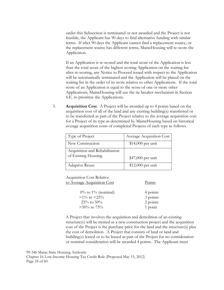under this Subsection is terminated or not awarded and the Project is not feasible, the Applicant has 90 days to find alternative funding with similar terms. If after 90 days the Applicant cannot find a replacement source, or the replacement source has different terms, MaineHousing will re-score the Application.

If an Application is re-scored and the total score of the Application is less than the total score of the highest scoring Application on the waiting list after re-scoring, any Notice to Proceed issued with respect to the Application will be automatically terminated and the Application will be placed on the waiting list in the order of its score relative to other Applications. If the total score of an Application is equal to the score of one or more other Applications, MaineHousing will use the tie breaker mechanism in Section 6.E. to prioritize the Applications.

3. **Acquisition Cost**. A Project will be awarded up to 4 points based on the acquisition cost of all of the land and any existing building(s) transferred or to be transferred as part of the Project relative to the average acquisition cost for a Project of its type as determined by MaineHousing based on historical average acquisition costs of completed Projects of each type as follows.

| Type of Project                | Average Acquisition Cost |
|--------------------------------|--------------------------|
| New Construction               | $$14,000$ per unit       |
| Acquisition and Rehabilitation |                          |
| of Existing Housing            | \$47,000 per unit        |
| Adaptive Reuse                 | \$12,000 per unit        |

Acquisition Cost Relative to Average Acquisition Cost Points

| $0\%$ to $1\%$ (nominal) | 4 points |
|--------------------------|----------|
| $>1\%$ to $<25\%$        | 3 points |
| $25\%$ to $50\%$         | 2 points |
| $>50\%$ to 75%           | 1 point  |

A Project that involves the acquisition and demolition of an existing structure(s) will be treated as a new construction project and the acquisition cost of the Project is the purchase price for the land and the structure(s) plus the cost of demolition. A Project that consists of land or land and building(s) leased or to be leased as part of the Project for no consideration or nominal consideration will be awarded 4 points. The Applicant must

99-346 Maine State Housing Authority

Chapter 16 Low-Income Housing Tax Credit Rule (Proposed May 15, 2012) Page 24 of 60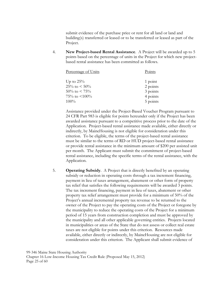submit evidence of the purchase price or rent for all land or land and building(s) transferred or leased or to be transferred or leased as part of the Project.

4. **New Project-based Rental Assistance**. A Project will be awarded up to 5 points based on the percentage of units in the Project for which new projectbased rental assistance has been committed as follows.

| Percentage of Units   | Points   |
|-----------------------|----------|
| Up to $25\%$          | 1 point  |
| $25\%$ to $\leq 50\%$ | 2 points |
| $50\%$ to $\lt 75\%$  | 3 points |
| 75\% to $\leq 100\%$  | 4 points |
| $100\%$               | 5 points |

Assistance provided under the Project-Based Voucher Program pursuant to 24 CFR Part 983 is eligible for points hereunder only if the Project has been awarded assistance pursuant to a competitive process prior to the date of the Application. Project-based rental assistance made available, either directly or indirectly, by MaineHousing is not eligible for consideration under this criterion. To be eligible, the terms of the project-based rental assistance must be similar to the terms of RD or HUD project-based rental assistance or provide rental assistance in the minimum amount of \$200 per assisted unit per month. The Applicant must submit the commitment of project-based rental assistance, including the specific terms of the rental assistance, with the Application.

5. **Operating Subsidy**. A Project that is directly benefited by an operating subsidy or reduction in operating costs through a tax increment financing, payment in lieu of taxes arrangement, abatement or other form of property tax relief that satisfies the following requirements will be awarded 3 points. The tax increment financing, payment in lieu of taxes, abatement or other property tax relief arrangement must provide for a minimum of 50% of the Project's annual incremental property tax revenue to be returned to the owner of the Project to pay the operating costs of the Project or foregone by the municipality to reduce the operating costs of the Project for a minimum period of 15 years from construction completion and must be approved by the municipality and all other applicable governing entities. Projects located in municipalities or areas of the State that do not assess or collect real estate taxes are not eligible for points under this criterion. Resources made available, either directly or indirectly, by MaineHousing are not eligible for consideration under this criterion. The Applicant shall submit evidence of

99-346 Maine State Housing Authority Chapter 16 Low-Income Housing Tax Credit Rule (Proposed May 15, 2012) Page 25 of 60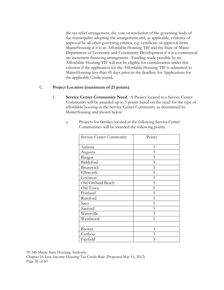the tax relief arrangement, the vote or resolution of the governing body of the municipality adopting the arrangement and, as applicable, evidence of approval by all other governing entities, e.g. certificate of approval from MaineHousing if it is an Affordable Housing TIF and the State of Maine Department of Economic and Community Development if it is a commercial tax increment financing arrangement. Funding made possible by an Affordable Housing TIF will not be eligible for consideration under this criterion if the application for the Affordable Housing TIF is submitted to MaineHousing less than 45 days prior to the deadline for Applications for the applicable Credit round.

#### C. **Project Location (maximum of 23 points)**.

1. **Service Center Community Need**. A Project located in a Service Center Community will be awarded up to 5 points based on the need for the type of affordable housing in the Service Center Community as determined by MaineHousing and shown below.

| Service Center Community | Points         |
|--------------------------|----------------|
|                          |                |
| Auburn                   | 5              |
| Augusta                  | 5              |
| Bangor                   | 5              |
| Biddeford                | 5              |
| Brunswick                | 5              |
| Ellsworth                | 5              |
| Lewiston                 | 5              |
| Old Orchard Beach        | 5              |
| Old Town                 | 5              |
| Portland                 | 5              |
| Rumford                  | 5              |
| Saco                     | 5              |
| Sanford                  | 5              |
| Waterville               | 5              |
| Westbrook                | 5              |
|                          |                |
| <b>Brewer</b>            | $\mathfrak{Z}$ |
| Caribou                  | 3              |
| Fairfield                | 3              |

a. Projects for families located in the following Service Center Communities will be awarded the following points.

99-346 Maine State Housing Authority

Chapter 16 Low-Income Housing Tax Credit Rule (Proposed May 15, 2012) Page 26 of 60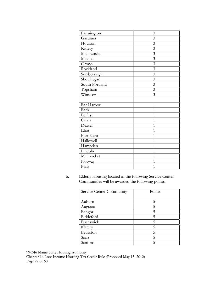| Farmington     | 3                       |
|----------------|-------------------------|
| Gardiner       | $\overline{3}$          |
| Houlton        | $\mathfrak{Z}$          |
| Kittery        | $\overline{3}$          |
| Madawaska      | 3                       |
| Mexico         | $\overline{3}$          |
| Orono          | 3                       |
| Rockland       | 3                       |
| Scarborough    | $\overline{\mathbf{3}}$ |
| Skowhegan      | $\overline{3}$          |
| South Portland | $\overline{\mathbf{3}}$ |
| Topsham        | 3                       |
| Winslow        | 3                       |
|                |                         |
| Bar Harbor     | $\mathbf{1}$            |
| Bath           | $\overline{1}$          |
| Belfast        | 1                       |
| Calais         | $\overline{1}$          |
| Dexter         | 1                       |
| Eliot          | $\overline{1}$          |
| Fort Kent      | 1                       |
| Hallowell      | $\overline{1}$          |
| Hampden        | $\overline{1}$          |
| Lincoln        | 1                       |
| Millinocket    | 1                       |
| Norway         | 1                       |
| Paris          | $\overline{1}$          |

b. Elderly Housing located in the following Service Center Communities will be awarded the following points.

| Service Center Community | Points |
|--------------------------|--------|
|                          |        |
| Auburn                   | 5      |
| Augusta                  | 5      |
| Bangor                   | 5      |
| Biddeford                | 5      |
| Brunswick                | 5      |
| Kittery                  | 5      |
| Lewiston                 | 5      |
| Saco                     | 5      |
| Sanford                  |        |

99-346 Maine State Housing Authority

Chapter 16 Low-Income Housing Tax Credit Rule (Proposed May 15, 2012) Page 27 of 60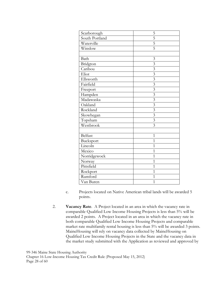| Scarborough    | 5                       |
|----------------|-------------------------|
| South Portland | $\overline{5}$          |
| Waterville     | $\overline{5}$          |
| Winslow        | $\overline{5}$          |
|                |                         |
| Bath           | $\mathfrak{Z}$          |
| Bridgton       | $\overline{3}$          |
| Caribou        | $\overline{3}$          |
| Eliot          | $\overline{\mathbf{3}}$ |
| Ellsworth      | $\overline{\mathbf{3}}$ |
| Fairfield      | $\overline{3}$          |
| Freeport       | $\overline{\mathbf{3}}$ |
| Hampden        | $\overline{3}$          |
| Madawaska      | $\overline{\mathbf{3}}$ |
| Oakland        | $\overline{\mathbf{3}}$ |
| Rockland       | $\overline{\mathbf{3}}$ |
| Skowhegan      | $\overline{\mathbf{3}}$ |
| Topsham        | $\overline{\mathbf{3}}$ |
| Westbrook      | $\overline{3}$          |
|                |                         |
| Belfast        | 1                       |
| Bucksport      | 1                       |
| Lincoln        | $\overline{1}$          |
| Mexico         | 1                       |
| Norridgewock   | $\overline{1}$          |
| Norway         | $\overline{1}$          |
| Pittsfield     | $\overline{1}$          |
| Rockport       | $\overline{1}$          |
| Rumford        | $\overline{1}$          |
| Van Buren      | $\mathbf{1}$            |

- c. Projects located on Native American tribal lands will be awarded 5 points.
- 2. **Vacancy Rate**. A Project located in an area in which the vacancy rate in comparable Qualified Low Income Housing Projects is less than 5% will be awarded 2 points. A Project located in an area in which the vacancy rate in both comparable Qualified Low Income Housing Projects and comparable market rate multifamily rental housing is less than 5% will be awarded 3 points. MaineHousing will rely on vacancy data collected by MaineHousing on Qualified Low Income Housing Projects in the State and the vacancy data in the market study submitted with the Application as reviewed and approved by

99-346 Maine State Housing Authority

Chapter 16 Low-Income Housing Tax Credit Rule (Proposed May 15, 2012) Page 28 of 60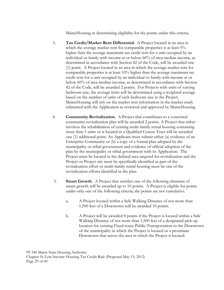MaineHousing in determining eligibility for the points under this criteria.

- 3. **Tax Credit/Market Rent Differential**. A Project located in an area in which the average market rent for comparable properties is at least 5% higher than the average maximum tax credit rent for a unit occupied by an individual or family with income at or below 60% of area median income, as determined in accordance with Section 42 of the Code, will be awarded one (1) point. A Project located in an area in which the average market rent for comparable properties is at least 10% higher than the average maximum tax credit rent for a unit occupied by an individual or family with income at or below 60% of area median income, as determined in accordance with Section 42 of the Code, will be awarded 2 points. For Projects with units of varying bedroom size, the average rents will be determined using a weighted average based on the number of units of each bedroom size in the Project. MaineHousing will rely on the market rent information in the market study submitted with the Application as reviewed and approved by MaineHousing.
- 4. **Community Revitalization**. A Project that contributes to a concerted community revitalization plan will be awarded 2 points. A Project that either involves the rehabilitation of existing multi-family rental housing containing more than 5 units or is located in a Qualified Census Tract will be awarded one (1) additional point. An Applicant must submit either (a) evidence of an Enterprise Community or (b) a copy of a formal plan adopted by the municipality or tribal government and evidence of official adoption of the plan by the municipality or tribal government with its Application. The Project must be located in the defined area targeted for revitalization and the Project or Project site must be specifically identified as part of the revitalization effort or multi-family rental housing must be one of the revitalization efforts identified in the plan.
- 5. **Smart Growth**. A Project that satisfies one of the following elements of smart growth will be awarded up to 10 points. A Project is eligible for points under only one of the following criteria; the points are not cumulative.
	- a. A Project located within a Safe Walking Distance of not more than 1,500 feet of a Downtown will be awarded 10 points.
	- b. A Project will be awarded 8 points if the Project is located within a Safe Walking Distance of not more than 1,500 feet of a designated pick-up location for existing Fixed-route Public Transportation to the Downtown of the municipality in which the Project is located or a proximate Downtown that serves the area in which the Project is located.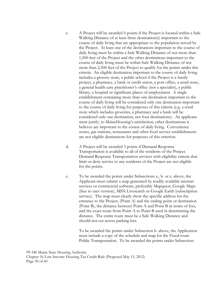- c. A Project will be awarded 6 points if the Project is located within a Safe Walking Distance of at least three destination(s) important to the course of daily living that are appropriate to the population served by the Project. At least one of the destinations important to the course of daily living must be within a Safe Walking Distance of not more than 1,500 feet of the Project and the other destinations important to the course of daily living must be within Safe Walking Distance of not more than 2,500 feet of the Project to qualify for the points under this criteria. An eligible destination important to the course of daily living includes a grocery store, a public school if the Project is a family project, a pharmacy, a bank or credit union, a post office, a retail store, a general health care practitioner's office (not a specialist), a public library, a hospital or significant places of employment. A single establishment containing more than one destination important to the course of daily living will be considered only one destination important to the course of daily living for purposes of this criteria (e.g. a retail store which includes groceries, a pharmacy and a bank will be considered only one destination, not four destinations). An applicant must justify, to MaineHousing's satisfaction, other destinations it believes are important to the course of daily living. Convenience stores, gas stations, restaurants and other food service establishments are not eligible destinations for purposes of this criterion.
- d. A Project will be awarded 3 points if Demand Response Transportation is available to all of the residents of the Project. Demand Response Transportation services with eligibility criteria that limit or deny service to any residents of the Project are not eligible for the points.
- e. To be awarded the points under Subsections a., b. or c. above, the Applicant must submit a map generated by readily available internet services or commercial software, preferably Mapquest, Google Maps (free to user version), MSN Livesearch or Google Earth (subscription service). The map must clearly show the specific address for the entrance to the Project, (Point A) and the ending point or destination (Point B), the distance between Point A and Point B in terms of feet, and the exact route from Point A to Point B used in determining the distance. The entire route must be a Safe Walking Distance and should not cut across parking lots.

To be awarded the points under Subsection b. above, the Application must include a copy of the schedule and map for the Fixed-route Public Transportation. To be awarded the points under Subsection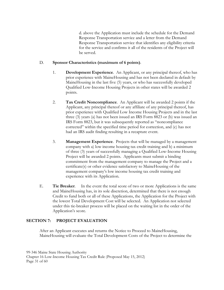d. above the Application must include the schedule for the Demand Response Transportation service and a letter from the Demand Response Transportation service that identifies any eligibility criteria for the service and confirms it all of the residents of the Project will be served.

#### D. **Sponsor Characteristics (maximum of 6 points)**.

- 1. **Development Experience**. An Applicant, or any principal thereof, who has prior experience with MaineHousing and has not been declared in default by MaineHousing in the last five (5) years, or who has successfully developed Qualified Low-Income Housing Projects in other states will be awarded 2 points.
- 2. **Tax Credit Noncompliance**. An Applicant will be awarded 2 points if the Applicant, any principal thereof or any affiliate of any principal thereof, has prior experience with Qualified Low Income Housing Projects and in the last three (3) years (a) has not been issued an IRS Form 8823 or (b) was issued an IRS Form 8823, but it was subsequently reported as "noncompliance corrected" within the specified time period for correction, and (c) has not had an IRS audit finding resulting in a recapture event.
- 3. **Management Experience**. Projects that will be managed by a management company with a) low income housing tax credit training and b) a minimum of three (3) years of successfully managing a Qualified Low-Income Housing Project will be awarded 2 points. Applicants must submit a binding commitment from the management company to manage the Project and a certificate(s) or other evidence satisfactory to MaineHousing of the management company's low income housing tax credit training and experience with its Application.
- E. **Tie Breaker**. In the event the total score of two or more Applications is the same and MaineHousing has, in its sole discretion, determined that there is not enough Credit to fund both or all of these Applications, the Application for the Project with the lowest Total Development Cost will be selected. An Application not selected under this tie-breaker process will be placed on the waiting list in the order of the Application's score.

#### **SECTION 7: PROJECT EVALUATION**

After an Applicant executes and returns the Notice to Proceed to MaineHousing, MaineHousing will evaluate the Total Development Costs of the Project to determine the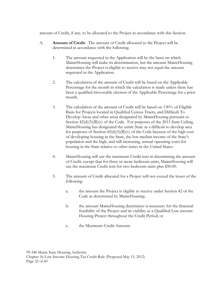amount of Credit, if any, to be allocated to the Project in accordance with this Section.

- A. **Amount of Credit**. The amount of Credit allocated to the Project will be determined in accordance with the following.
	- 1. The amount requested in the Application will be the basis on which MaineHousing will make its determination, but the amount MaineHousing determines the Project is eligible to receive may not equal the amount requested in the Application.
	- 2. The calculation of the amount of Credit will be based on the Applicable Percentage for the month in which the calculation is made unless there has been a qualified irrevocable election of the Applicable Percentage for a prior month.
	- 3. The calculation of the amount of Credit will be based on 130% of Eligible Basis for Projects located in Qualified Census Tracts, and Difficult To Develop Areas and other areas designated by MaineHousing pursuant to Section  $42(d)(5)(B)(v)$  of the Code. For purposes of the 2013 State Ceiling, MaineHousing has designated the entire State as a difficult to develop area for purposes of Section  $42(d)(5)(B)(v)$  of the Code because of the high cost of developing housing in the State, the low median income of the State's population and the high, and still increasing, annual operating costs for housing in the State relative to other states in the United States.
	- 4. MaineHousing will use the maximum Credit rent in determining the amount of Credit, except that for three or more bedroom units, MaineHousing will use the maximum Credit rent for two-bedroom units plus \$50.00.
	- 5. The amount of Credit allocated for a Project will not exceed the lesser of the following:
		- a. the amount the Project is eligible to receive under Section 42 of the Code as determined by MaineHousing;
		- b. the amount MaineHousing determines is necessary for the financial feasibility of the Project and its viability as a Qualified Low-income Housing Project throughout the Credit Period; or
		- c. the Maximum Credit Amount.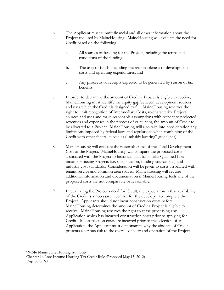- 6. The Applicant must submit financial and all other information about the Project required by MaineHousing. MaineHousing will evaluate the need for Credit based on the following.
	- a. All sources of funding for the Project, including the terms and conditions of the funding;
	- b. The uses of funds, including the reasonableness of development costs and operating expenditures; and
	- c. Any proceeds or receipts expected to be generated by reason of tax benefits.
- 7. In order to determine the amount of Credit a Project is eligible to receive, MaineHousing must identify the equity gap between development sources and uses which the Credit is designed to fill. MaineHousing reserves the right to limit recognition of Intermediary Costs, re-characterize Project sources and uses and make reasonable assumptions with respect to projected revenues and expenses in the process of calculating the amount of Credit to be allocated to a Project. MaineHousing will also take into consideration any limitations imposed by federal laws and regulations when combining of the Credit with other federal subsidies ("subsidy layering" guidelines).
- 8. MaineHousing will evaluate the reasonableness of the Total Development Cost of the Project. MaineHousing will compare the proposed costs associated with the Project to historical data for similar Qualified Lowincome Housing Projects (i.e. size, location, funding source, etc.) and industry cost standards. Consideration will be given to costs associated with tenant service and common area spaces. MaineHousing will require additional information and documentation if MaineHousing feels any of the proposed costs are not comparable or reasonable.
- 9. In evaluating the Project's need for Credit, the expectation is that availability of the Credit is a necessary incentive for the developer to complete the Project. Applicants should not incur construction costs before MaineHousing determines the amount of Credit a Project is eligible to receive. MaineHousing reserves the right to cease processing any Application which has incurred construction costs prior to applying for Credit. If construction costs are incurred prior to the selection of an Application, the Applicant must demonstrate why the absence of Credit presents a serious risk to the overall viability and operation of the Project.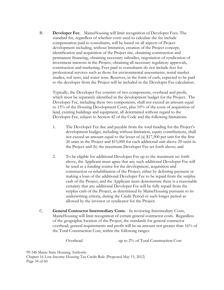B. **Developer Fee**. MaineHousing will limit recognition of Developer Fees. The standard fee, regardless of whether costs used to calculate the fee include compensation paid to consultants, will be based on all aspects of Project development including, without limitation, creation of the Project concept, identification and acquisition of the Project site, obtaining construction and permanent financing, obtaining necessary subsidies, negotiation of syndication of investment interests in the Project, obtaining all necessary regulatory approvals, construction and marketing. Fees paid to consultants do not include fees for professional services such as those for environmental assessments, rental market studies, soil tests, and water tests. Reserves, in the form of cash, expected to be paid to the developer from the Project will be included in the Developer Fee calculation.

Typically, the Developer Fee consists of two components, overhead and profit, which must be separately identified in the development budget for the Project. The Developer Fee, including these two components, shall not exceed an amount equal to 15% of the Housing Development Costs, plus 10% of the costs of acquisition of land, existing buildings and equipment, all determined without regard to the Developer Fee, subject to Section 42 of the Code and the following limitations.

- 1. The Developer Fee due and payable from the total funding for the Project's development budget, including without limitation, equity contributions, shall not exceed an amount equal to the lesser of (a) \$17,500 per unit for the first 20 units in the Project and \$15,000 for each additional unit above 20 units in the Project and (b) the maximum Developer Fee set forth above; and
- 2. To be eligible for additional Developer Fee up to the maximum set forth above, the Applicant must agree that any such additional Developer Fee will be used as a funding source for the development, acquisition and construction or rehabilitation of the Project, either by deferring payment or making a loan of the additional Developer Fee to be repaid from the surplus cash of the Project, and the Applicant must demonstrate there is a reasonable certainty that any additional Developer Fee will be fully repaid from the surplus cash of the Project, as determined by MaineHousing pursuant to its underwriting criteria, during the Credit Period or such longer period as allowed by the investor or syndicator for the Project.
- C. **General Contractor Intermediary Costs**. In reviewing Intermediary Costs, MaineHousing will limit recognition of certain general contractor costs. Regardless of the geographic location of the Project, the standards for general contractor overhead, general requirements and profit will be an amount not greater than 16% of the Total Construction Cost, within the following ranges:

Overhead up to 2% of Total Construction Cost

99-346 Maine State Housing Authority Chapter 16 Low-Income Housing Tax Credit Rule (Proposed May 15, 2012) Page 34 of 60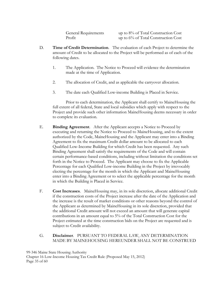General Requirements up to 8% of Total Construction Cost Profit up to 6% of Total Construction Cost

- D. **Time of Credit Determination**. The evaluation of each Project to determine the amount of Credit to be allocated to the Project will be performed as of each of the following dates.
	- 1. The Application. The Notice to Proceed will evidence the determination made at the time of Application.
	- 2. The allocation of Credit, and as applicable the carryover allocation.
	- 3. The date each Qualified Low-income Building is Placed in Service.

 Prior to each determination, the Applicant shall certify to MaineHousing the full extent of all federal, State and local subsidies which apply with respect to the Project and provide such other information MaineHousing deems necessary in order to complete its evaluation.

- E. **Binding Agreement**. After the Applicant accepts a Notice to Proceed by executing and returning the Notice to Proceed to MaineHousing, and to the extent authorized by the Code, MaineHousing and the Applicant may enter into a Binding Agreement to fix the maximum Credit dollar amount to be allocated to each Qualified Low-Income Building for which Credit has been requested. Any such Binding Agreement shall satisfy the requirements of the Code and will contain certain performance-based conditions, including without limitation the conditions set forth in the Notice to Proceed. The Applicant may choose to fix the Applicable Percentage for each Qualified Low-income Building in the Project by irrevocably electing the percentage for the month in which the Applicant and MaineHousing enter into a Binding Agreement or to select the applicable percentage for the month in which the Building is Placed in Service.
- F. **Cost Increases**. MaineHousing may, in its sole discretion, allocate additional Credit if the construction costs of the Project increase after the date of the Application and the increase is the result of market conditions or other reasons beyond the control of the Applicant as determined by MaineHousing in its sole discretion, provided that the additional Credit amount will not exceed an amount that will generate capital contributions in an amount equal to 5% of the Total Construction Cost for the Project estimated at the time construction bids on the Project are requested and is subject to Credit availability.

## G. **Disclaimer**. PURSUANT TO FEDERAL LAW, ANY DETERMINATION MADE BY MAINEHOUSING HEREUNDER SHALL NOT BE CONSTRUED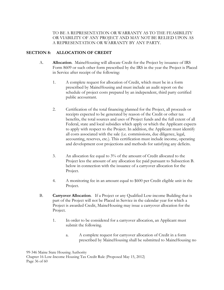TO BE A REPRESENTATION OR WARRANTY AS TO THE FEASIBILITY OR VIABILITY OF ANY PROJECT AND MAY NOT BE RELIED UPON AS A REPRESENTATION OR WARRANTY BY ANY PARTY.

# **SECTION 8: ALLOCATION OF CREDIT**

- A. **Allocation**. MaineHousing will allocate Credit for the Project by issuance of IRS Form 8609 or such other form prescribed by the IRS in the year the Project is Placed in Service after receipt of the following:
	- 1. A complete request for allocation of Credit, which must be in a form prescribed by MaineHousing and must include an audit report on the schedule of project costs prepared by an independent, third party certified public accountant.
	- 2. Certification of the total financing planned for the Project, all proceeds or receipts expected to be generated by reason of the Credit or other tax benefits, the total sources and uses of Project funds and the full extent of all Federal, state and local subsidies which apply or which the Applicant expects to apply with respect to the Project. In addition, the Applicant must identify all costs associated with the sale (i.e. commissions, due diligence, legal, accounting, reserves, etc.). This certification must include income, operating and development cost projections and methods for satisfying any deficits.
	- 3. An allocation fee equal to 3% of the amount of Credit allocated to the Project less the amount of any allocation fee paid pursuant to Subsection B. below in connection with the issuance of a carryover allocation for the Project.
	- 4. A monitoring fee in an amount equal to \$600 per Credit eligible unit in the Project.
- B. **Carryover Allocation**. If a Project or any Qualified Low-income Building that is part of the Project will not be Placed in Service in the calendar year for which a Project is awarded Credit, MaineHousing may issue a carryover allocation for the Project.
	- 1. In order to be considered for a carryover allocation, an Applicant must submit the following.
		- a. A complete request for carryover allocation of Credit in a form prescribed by MaineHousing shall be submitted to MaineHousing no

99-346 Maine State Housing Authority Chapter 16 Low-Income Housing Tax Credit Rule (Proposed May 15, 2012) Page 36 of 60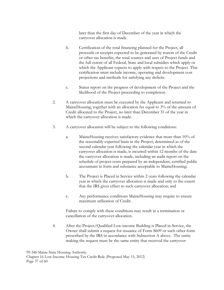later than the first day of December of the year in which the carryover allocation is made.

- b. Certification of the total financing planned for the Project, all proceeds or receipts expected to be generated by reason of the Credit or other tax benefits, the total sources and uses of Project funds and the full extent of all Federal, State and local subsidies which apply or which the Applicant expects to apply with respect to the Project. This certification must include income, operating and development cost projections and methods for satisfying any deficits.
- c. Status report on the progress of development of the Project and the likelihood of the Project proceeding to completion.
- 2. A carryover allocation must be executed by the Applicant and returned to MaineHousing, together with an allocation fee equal to 3% of the amount of Credit allocated to the Project, no later than December 31 of the year in which the carryover allocation is made.
- 3. A carryover allocation will be subject to the following conditions:
	- a. MaineHousing receives satisfactory evidence that more than 10% of the reasonably expected basis in the Project, determined as of the second calendar year following the calendar year in which the carryover allocation is made, is incurred within 12 months of the date the carryover allocation is made, including an audit report on the schedule of project costs prepared by an independent, certified public accountant in form and substance acceptable to MaineHousing;
	- b. The Project is Placed in Service within 2 years following the calendar year in which the carryover allocation is made and only to the extent that the IRS gives effect to such carryover allocation; and
	- c. Any performance conditions MaineHousing may require to ensure maximum utilization of Credit.

Failure to comply with these conditions may result in a termination or cancellation of the carryover allocation.

4. After the Project/Qualified Low-income Building is Placed in Service, the Owner shall submit a request for issuance of Form 8609 or such other form prescribed by the IRS in accordance with Subsection A above. The entity making the request must be the same entity that received the carryover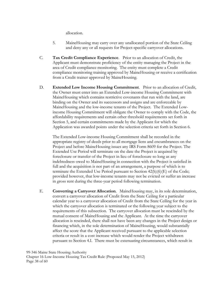allocation.

- 5. MaineHousing may carry over any unallocated portion of the State Ceiling and deny any or all requests for Project-specific carryover allocations.
- C. **Tax Credit Compliance Experience**. Prior to an allocation of Credit, the Applicant must demonstrate proficiency of the entity managing the Project in the area of Credit compliance monitoring. The entity must complete a Credit compliance monitoring training approved by MaineHousing or receive a certification from a Credit trainer approved by MaineHousing.
- D. **Extended Low Income Housing Commitment**. Prior to an allocation of Credit, the Owner must enter into an Extended Low-income Housing Commitment with MaineHousing which contains restrictive covenants that run with the land, are binding on the Owner and its successors and assigns and are enforceable by MaineHousing and the low-income tenants of the Project. The Extended Lowincome Housing Commitment will obligate the Owner to comply with the Code, the affordability requirements and certain other threshold requirements set forth in Section 5, and certain commitments made by the Applicant for which the Application was awarded points under the selection criteria set forth in Section 6.

The Extended Low-income Housing Commitment shall be recorded in the appropriate registry of deeds prior to all mortgage liens and encumbrances on the Project and before MaineHousing issues any IRS Form 8609 for the Project. The Extended Use Period will terminate on the date the Project is acquired by foreclosure or transfer of the Project in lieu of foreclosure so long as any indebtedness owed to MaineHousing in connection with the Project is satisfied in full and the acquisition is not part of an arrangement, a purpose of which is to terminate the Extended Use Period pursuant to Section 42(h)(6)(E) of the Code; provided however, that low-income tenants may not be evicted or suffer an increase in gross rent during the three-year period following termination.

E. **Converting a Carryover Allocation**. MaineHousing may, in its sole determination, convert a carryover allocation of Credit from the State Ceiling for a particular calendar year to a carryover allocation of Credit from the State Ceiling for the year in which the carryover allocation is terminated or the following year subject to the requirements of this subsection. The carryover allocation must be rescinded by the mutual consent of MaineHousing and the Applicant. At the time the carryover allocation is rescinded, there shall not have been any changes in the Project design or financing which, in the sole determination of MaineHousing, would substantially affect the score that the Applicant received pursuant to the applicable selection criteria or result in a cost increase which would render the Project withdrawn pursuant to Section 4.I. There must be extenuating circumstances, which result in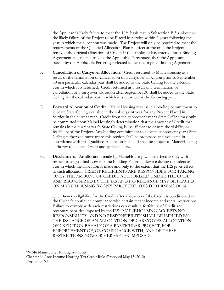the Applicant's likely failure to meet the 10% basis test in Subsection B.3.a. above or the likely failure of the Project to be Placed in Service within 2 years following the year in which the allocation was made. The Project will only be required to meet the requirements of the Qualified Allocation Plan in effect at the time the Project received the original allocation of Credit. If the Applicant has entered into a Binding Agreement and elected to lock the Applicable Percentage, then the Applicant is bound by the Applicable Percentage elected under the original Binding Agreement.

- F. **Cancellation of Carryover Allocation**. Credit returned to MaineHousing as a result of the termination or cancellation of a carryover allocation prior to September 30 in a particular calendar year shall be added to the State Ceiling for the calendar year in which it is returned. Credit returned as a result of a termination or cancellation of a carryover allocation after September 30 shall be added to the State Ceiling for the calendar year in which it is returned or the following year.
- G. **Forward Allocation of Credit.** MaineHousing may issue a binding commitment to allocate State Ceiling available in the subsequent year for any Project Placed in Service in the current year. Credit from the subsequent year's State Ceiling may only be committed upon MaineHousing's determination that the amount of Credit that remains in the current year's State Ceiling is insufficient to ensure the viability or feasibility of the Project. Any binding commitment to allocate subsequent year's State Ceiling authorized pursuant to this section shall be processed and evaluated in accordance with this Qualified Allocation Plan and shall be subject to MaineHousing authority to allocate Credit and applicable law.
- H. **Disclaimers**. An allocation made by MaineHousing will be effective only with respect to a Qualified Low-income Building Placed in Service during the calendar year in which the allocation is made and only to the extent that the IRS gives effect to such allocation. CREDIT RECIPIENTS ARE RESPONSIBLE FOR TAKING ONLY THE AMOUNT OF CREDIT AUTHORIZED UNDER THE CODE AND RECOGNIZED BY THE IRS AND NO RELIANCE MAY BE PLACED ON MAINEHOUSING BY ANY PARTY FOR THIS DETERMINATION.

The Owner's eligibility for the Credit after allocation of the Credit is conditioned on the Owner's continued compliance with certain tenant income and rental restrictions. Failure to comply with such restrictions can result in forfeiture of Credit and recapture penalties imposed by the IRS. MAINEHOUSING ACCEPTS NO RESPONSIBILITY AND NO RESPONSIBILITY SHALL BE IMPLIED BY THE ISSUANCE OF AN ALLOCATION OR CARRYOVER ALLOCATION OF CREDIT ON BEHALF OF A PARTICULAR PROJECT, FOR ENFORCEMENT OF, OR COMPLIANCE WITH, ANY OF THESE RESTRICTIONS NOW OR HEREAFTER IMPOSED.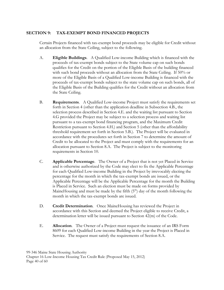# **SECTION 9: TAX-EXEMPT BOND FINANCED PROJECTS**

Certain Projects financed with tax-exempt bond proceeds may be eligible for Credit without an allocation from the State Ceiling, subject to the following.

- A. **Eligible Buildings**. A Qualified Low-income Building which is financed with the proceeds of tax-exempt bonds subject to the State volume cap on such bonds qualifies for the Credit on the portion of the Eligible Basis of the building financed with such bond proceeds without an allocation from the State Ceiling. If 50% or more of the Eligible Basis of a Qualified Low-income Building is financed with the proceeds of tax-exempt bonds subject to the state volume cap on such bonds, all of the Eligible Basis of the Building qualifies for the Credit without an allocation from the State Ceiling.
- B. **Requirements**. A Qualified Low-income Project must satisfy the requirements set forth in Section 4 (other than the application deadline in Subsection 4.B., the selection process described in Section 4.E. and the waiting list pursuant to Section 4.G provided the Project may be subject to a selection process and waiting list pursuant to a tax-exempt bond financing program, and the Maximum Credit Restriction pursuant to Section 4.H.) and Section 5 (other than the affordability threshold requirement set forth in Section 5.B.). The Project will be evaluated in accordance with the procedures set forth in Section 7 to determine the amount of Credit to be allocated to the Project and must comply with the requirements for an allocation pursuant to Section 8.A. The Project is subject to the monitoring requirements in Section 10.
- C. **Applicable Percentage**. The Owner of a Project that is not yet Placed in Service and is otherwise authorized by the Code may elect to fix the Applicable Percentage for each Qualified Low-income Building in the Project by irrevocably electing the percentage for the month in which the tax-exempt bonds are issued, or the Applicable Percentage will be the Applicable Percentage for the month the Building is Placed in Service. Such an election must be made on forms provided by MaineHousing and must be made by the fifth  $(5<sup>th</sup>)$  day of the month following the month in which the tax-exempt bonds are issued.
- D. **Credit Determination**. Once MaineHousing has reviewed the Project in accordance with this Section and deemed the Project eligible to receive Credit, a determination letter will be issued pursuant to Section 42(m) of the Code.
- E. **Allocation**. The Owner of a Project must request the issuance of an IRS Form 8609 for each Qualified Low-income Building in the year the Project is Placed in Service. The request must satisfy the requirements of Section 8.A.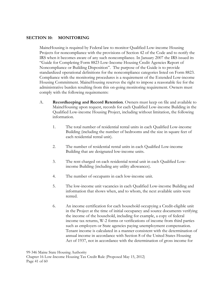#### **SECTION 10: MONITORING**

 MaineHousing is required by Federal law to monitor Qualified Low-income Housing Projects for noncompliance with the provisions of Section 42 of the Code and to notify the IRS when it becomes aware of any such noncompliance. In January 2007 the IRS issued its "Guide for Completing Form 8823 Low-Income Housing Credit Agencies Report of Noncompliance or Building Disposition". The purpose of the Guide is to provide standardized operational definitions for the noncompliance categories listed on Form 8823. Compliance with the monitoring procedures is a requirement of the Extended Low-income Housing Commitment. MaineHousing reserves the right to impose a reasonable fee for the administrative burden resulting from this on-going monitoring requirement. Owners must comply with the following requirements:

- A. **Recordkeeping and Record Retention**. Owners must keep on file and available to MaineHousing upon request, records for each Qualified Low-income Building in the Qualified Low-income Housing Project, including without limitation, the following information.
	- 1. The total number of residential rental units in each Qualified Low-income Building (including the number of bedrooms and the size in square feet of each residential rental unit).
	- 2. The number of residential rental units in each Qualified Low-income Building that are designated low-income units.
	- 3. The rent charged on each residential rental unit in each Qualified Lowincome Building (including any utility allowances).
	- 4. The number of occupants in each low-income unit.
	- 5. The low-income unit vacancies in each Qualified Low-income Building and information that shows when, and to whom, the next available units were rented.
	- 6. An income certification for each household occupying a Credit-eligible unit in the Project at the time of initial occupancy and source documents verifying the income of the household, including for example, a copy of federal income tax returns, W-2 forms or verifications of income from third parties such as employers or State agencies paying unemployment compensation. Tenant income is calculated in a manner consistent with the determination of annual income in accordance with Section 8 of the United States Housing Act of 1937, not in accordance with the determination of gross income for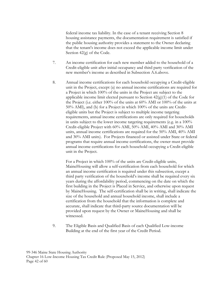federal income tax liability. In the case of a tenant receiving Section 8 housing assistance payments, the documentation requirement is satisfied if the public housing authority provides a statement to the Owner declaring that the tenant's income does not exceed the applicable income limit under Section 42(g) of the Code.

- 7. An income certification for each new member added to the household of a Credit-eligible unit after initial occupancy and third party verification of the new member's income as described in Subsection A.6.above.
- 8. Annual income certifications for each household occupying a Credit-eligible unit in the Project, except (a) no annual income certifications are required for a Project in which 100% of the units in the Project are subject to the applicable income limit elected pursuant to Section  $42(g)(1)$  of the Code for the Project (i.e. either 100% of the units at 60% AMI or 100% of the units at 50% AMI), and (b) for a Project in which 100% of the units are Crediteligible units but the Project is subject to multiple income targeting requirements, annual income certifications are only required for households in units subject to the lower income targeting requirements (e.g. in a 100% Credit-eligible Project with 60% AMI, 50% AMI, 40% AMI and 30% AMI units, annual income certifications are required for the 50% AMI, 40% AMI and 30% AMI units). For Projects financed or assisted under State or federal programs that require annual income certifications, the owner must provide annual income certifications for each household occupying a Credit-eligible unit in the Project.

For a Project in which 100% of the units are Credit-eligible units, MaineHousing will allow a self-certification from each household for which an annual income certification is required under this subsection, except a third party verification of the household's income shall be required every six years during the affordability period, commencing on the date on which the first building in the Project is Placed in Service, and otherwise upon request by MaineHousing. The self-certification shall be in writing, shall indicate the size of the household and annual household income, shall include a certification from the household that the information is complete and accurate, shall indicate that third-party source documentation will be provided upon request by the Owner or MaineHousing and shall be witnessed.

9. The Eligible Basis and Qualified Basis of each Qualified Low-income Building at the end of the first year of the Credit Period.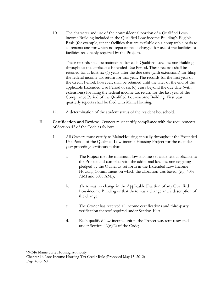10. The character and use of the nonresidential portion of a Qualified Lowincome Building included in the Qualified Low-income Building's Eligible Basis (for example, tenant facilities that are available on a comparable basis to all tenants and for which no separate fee is charged for use of the facilities or facilities reasonably required by the Project).

These records shall be maintained for each Qualified Low-income Building throughout the applicable Extended Use Period. These records shall be retained for at least six (6) years after the due date (with extensions) for filing the federal income tax return for that year. The records for the first year of the Credit Period, however, shall be retained until the later of the end of the applicable Extended Use Period or six (6) years beyond the due date (with extensions) for filing the federal income tax return for the last year of the Compliance Period of the Qualified Low-income Building. First year quarterly reports shall be filed with MaineHousing.

- 11. A determination of the student status of the resident household.
- B. **Certification and Review**. Owners must certify compliance with the requirements of Section 42 of the Code as follows:
	- 1. All Owners must certify to MaineHousing annually throughout the Extended Use Period of the Qualified Low-income Housing Project for the calendar year preceding certification that:
		- a. The Project met the minimum low-income set-aside test applicable to the Project and complies with the additional low-income targeting pledged by the Owner as set forth in the Extended Low Income Housing Commitment on which the allocation was based, (e.g. 40% AMI and 50% AMI);
		- b. There was no change in the Applicable Fraction of any Qualified Low-income Building or that there was a change and a description of the change;
		- c. The Owner has received all income certifications and third-party verification thereof required under Section 10.A.;
		- d. Each qualified low-income unit in the Project was rent-restricted under Section  $42(g)(2)$  of the Code;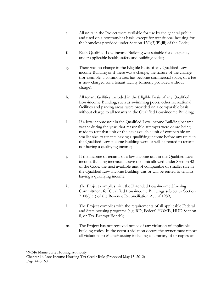- e. All units in the Project were available for use by the general public and used on a nontransient basis, except for transitional housing for the homeless provided under Section  $42(i)(3)(B(iii))$  of the Code;
- f. Each Qualified Low-income Building was suitable for occupancy under applicable health, safety and building codes;
- g. There was no change in the Eligible Basis of any Qualified Lowincome Building or if there was a change, the nature of the change (for example, a common area has become commercial space, or a fee is now charged for a tenant facility formerly provided without charge);
- h. All tenant facilities included in the Eligible Basis of any Qualified Low-income Building, such as swimming pools, other recreational facilities and parking areas, were provided on a comparable basis without charge to all tenants in the Qualified Low-income Building;
- i. If a low-income unit in the Qualified Low-income Building became vacant during the year, that reasonable attempts were or are being made to rent that unit or the next available unit of comparable or smaller size to tenants having a qualifying income before any units in the Qualified Low-income Building were or will be rented to tenants not having a qualifying income;
- j. If the income of tenants of a low-income unit in the Qualified Lowincome Building increased above the limit allowed under Section 42 of the Code, the next available unit of comparable or smaller size in the Qualified Low-income Building was or will be rented to tenants having a qualifying income;
- k. The Project complies with the Extended Low-income Housing Commitment for Qualified Low-income Buildings subject to Section 7108(c)(1) of the Revenue Reconciliation Act of 1989;
- l. The Project complies with the requirements of all applicable Federal and State housing programs (e.g. RD, Federal HOME, HUD Section 8, or Tax-Exempt Bonds);
- m. The Project has not received notice of any violation of applicable building codes. In the event a violation occurs the owner must report all violations to MaineHousing including a summary of or copies of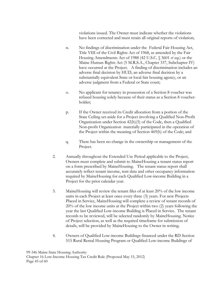violations issued. The Owner must indicate whether the violations have been corrected and must retain all original reports of violation;

- n. No findings of discrimination under the Federal Fair Housing Act, Title VIII of the Civil Rights Act of 1968, as amended by the Fair Housing Amendments Act of 1988 (42 U.S.C. § 3601 *et seq.*) or the Maine Human Rights Act (5 M.R.S.A., Chapter 337, Subchapter IV) have occurred at the Project. A finding of discrimination includes an adverse final decision by HUD, an adverse final decision by a substantially equivalent State or local fair housing agency, or an adverse judgment from a Federal or State court;
- o. No applicant for tenancy in possession of a Section 8 voucher was refused housing solely because of their status as a Section 8 voucherholder;
- p. If the Owner received its Credit allocation from a portion of the State Ceiling set-aside for a Project involving a Qualified Non-Profit Organization under Section 42(h)(5) of the Code, then a Qualified Non-profit Organization materially participated in the operation of the Project within the meaning of Section 469(h) of the Code; and
- q. There has been no change in the ownership or management of the Project.
- 2. Annually throughout the Extended Use Period applicable to the Project, Owners must complete and submit to MaineHousing a tenant status report on a form prescribed by MaineHousing. The tenant status report shall accurately reflect tenant income, rent data and other occupancy information required by MaineHousing for each Qualified Low-income Building in a Project for the prior calendar year.
- 3. MaineHousing will review the tenant files of at least 20% of the low income units in each Project at least once every three (3) years. For new Projects Placed in Service, MaineHousing will complete a review of tenant records of 20% of the low income units at the Project within two (2) years following the year the last Qualified Low-income Building is Placed in Service. The tenant records to be reviewed, will be selected randomly by MaineHousing. Notice of Project selection, as well as the required timeframe for submission of details, will be provided by MaineHousing to the Owner in writing.
- 4. Owners of Qualified Low-income Buildings financed under the RD Section 515 Rural Rental Housing Program or Qualified Low-income Buildings of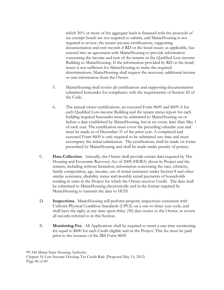which 50% or more of the aggregate basis is financed with the proceeds of tax-exempt bonds are not required to submit, and MaineHousing is not required to review, the tenant income certifications, supporting documentation and rent records if RD or the bond issuer, as applicable, has entered into an agreement with MaineHousing to provide information concerning the income and rent of the tenants in the Qualified Low-income Building to MaineHousing. If the information provided by RD or the bond issuer is not sufficient for MaineHousing to make the required determinations, MaineHousing shall request the necessary additional income or rent information from the Owner.

- 5. MaineHousing shall review all certifications and supporting documentation submitted hereunder for compliance with the requirements of Section 42 of the Code.
- 6. The annual owner certifications, an executed Form 8609 and 8609-A for each Qualified Low-income Building and the tenant status report for each building required hereunder must be submitted to MaineHousing on or before a date established by MaineHousing, but in no event, later than May 1 of each year. The certification must cover the preceding calendar year and must be made as of December 31 of the prior year. A completed and executed Form 8609 is only required to be submitted one time and must accompany the initial submission. The certifications shall be made on forms prescribed by MaineHousing and shall be made under penalty of perjury.
- C. **Data Collection**. Annually, the Owner shall provide certain data required by The Housing and Economic Recovery Act of 2008 (HERA) about its Project and the tenants, including without limitation, information concerning the race, ethnicity, family composition, age, income, use of rental assistance under Section 8 and other similar assistance, disability status and monthly rental payments of households residing in units in the Project for which the Owner receives Credit. The data shall be submitted to MaineHousing electronically and in the format required by MaineHousing to transmit the data to HUD.
- D. **Inspections**. MaineHousing will perform property inspections consistent with Uniform Physical Condition Standards (UPCS) on a one-to-three year cycle, and shall have the right, at any time upon thirty (30) days notice to the Owner, to review all records referred to in this Section.
- E. **Monitoring Fee**. All Applications shall be required to remit a one-time monitoring fee equal to \$600 for each Credit eligible unit in the Project. This fee must be paid prior to the issuance of the IRS Form 8609.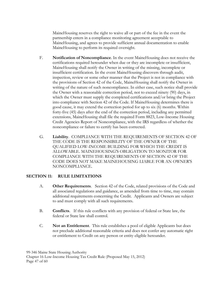MaineHousing reserves the right to waive all or part of the fee in the event the partnership enters in a compliance monitoring agreement acceptable to MaineHousing, and agrees to provide sufficient annual documentation to enable MaineHousing to perform its required oversight.

- F. **Notification of Noncompliance**. In the event MaineHousing does not receive the certifications required hereunder when due or they are incomplete or insufficient, MaineHousing shall notify the Owner in writing of the missing, incomplete or insufficient certification. In the event MaineHousing discovers through audit, inspection, review or some other manner that the Project is not in compliance with the provisions of Section 42 of the Code, MaineHousing shall notify the Owner in writing of the nature of such noncompliance. In either case, such notice shall provide the Owner with a reasonable correction period, not to exceed ninety (90) days, in which the Owner must supply the completed certifications and/or bring the Project into compliance with Section 42 of the Code. If MaineHousing determines there is good cause, it may extend the correction period for up to six (6) months. Within forty-five (45) days after the end of the correction period, including any permitted extensions, MaineHousing shall file the required Form 8823, Low-Income Housing Credit Agencies Report of Noncompliance, with the IRS regardless of whether the noncompliance or failure to certify has been corrected.
- G. **Liability**. COMPLIANCE WITH THE REQUIREMENTS OF SECTION 42 OF THE CODE IS THE RESPONSIBILITY OF THE OWNER OF THE QUALIFIED LOW-INCOME BUILDING FOR WHICH THE CREDIT IS ALLOWABLE. MAINEHOUSING'S OBLIGATION TO MONITOR FOR COMPLIANCE WITH THE REQUIREMENTS OF SECTION 42 OF THE CODE DOES NOT MAKE MAINEHOUSING LIABLE FOR AN OWNER'S NONCOMPLIANCE.

# **SECTION 11: RULE LIMITATIONS**

- A. **Other Requirements**. Section 42 of the Code, related provisions of the Code and all associated regulations and guidance, as amended from time to time, may contain additional requirements concerning the Credit. Applicants and Owners are subject to and must comply with all such requirements.
- B. **Conflicts**. If this rule conflicts with any provision of federal or State law, the federal or State law shall control.
- C. **Not an Entitlement**.This rule establishes a pool of eligible Applicants but does not preclude additional reasonable criteria and does not confer any automatic right or entitlement to Credit on any person or entity eligible hereunder.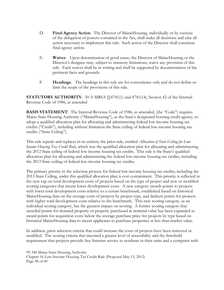- D. **Final Agency Action**.The Director of MaineHousing, individually or by exercise of the delegation of powers contained in the Act, shall make all decisions and take all action necessary to implement this rule. Such action of the Director shall constitute final agency action.
- E. **Waiver**.Upon determination of good cause, the Director of MaineHousing or the Director's designee may, subject to statutory limitations, waive any provision of this rule. Each waiver shall be in writing and shall be supported by documentation of the pertinent facts and grounds.
- F. **Headings**. The headings in this rule are for convenience only and do not define or limit the scope of the provisions of this rule.

**STATUTORY AUTHORITY:** 30-A MRSA  $\{\$4741(1)$  and 4741(14), Section 42 of the Internal Revenue Code of 1986, as amended

**BASIS STATEMENT**: The Internal Revenue Code of 1986, as amended, (the "Code") requires Maine State Housing Authority ("MaineHousing"), as the State's designated housing credit agency, to adopt a qualified allocation plan for allocating and administering federal low income housing tax credits ("Credit"), including without limitation the State ceiling of federal low-income housing tax credits ("State Ceiling").

This rule repeals and replaces in its entirety the prior rule, entitled *Allocation of State Ceiling for Low-Income Housing Tax Credit Rule*, which was the qualified allocation plan for allocating and administering the 2012 State ceiling of federal low income housing tax credits. This rule is the State's qualified allocation plan for allocating and administering the federal low-income housing tax credits, including the 2013 State ceiling of federal low-income housing tax credits.

The primary priority in the selection process for federal low-income housing tax credits, including the 2013 State Ceiling, under this qualified allocation plan is cost containment. This priority is reflected in the new cap on total development costs of projects based on the type of project and new or modified scoring categories that incent lower development costs. A new category awards points to projects with lower total development costs relative to a certain benchmark, established based on historical MaineHousing data on the average costs of projects by project type, and deducts points for projects with higher total development costs relative to the benchmark. This new scoring category, as an individual scoring category, has the greatest impact on scoring. A former scoring category that awarded points for donated property or property purchased at nominal value has been expanded to award points for acquisition costs below the average purchase price for projects by type based on historical MaineHousing data to incent applicants to purchase properties at less than market value.

In addition, prior selection criteria that could increase the costs of projects have been removed or modified. The scoring criteria that incented a greater level of accessibility and the threshold requirement that projects provide free Internet service to residents in their units and a computer with

99-346 Maine State Housing Authority Chapter 16 Low-Income Housing Tax Credit Rule (Proposed May 15, 2012) Page 48 of 60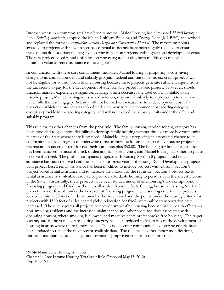Internet access in a common area have been removed. MaineHousing has eliminated *MaineHousing's Green Building Standards*, adopted the Maine Uniform Building and Energy Code (MUBEC) and revised and replaced the former *Construction Services Design and Construction Manual*. The maximum points awarded to projects with new project-based rental assistance have been slightly reduced to ensure these points do not offset the negative scoring impact on projects with higher total development costs. The new project-based rental assistance scoring category has also been modified to establish a minimum value of rental assistance to be eligible.

In conjunction with these cost containment measures, MaineHousing is proposing a cost-saving change to its companion debt and subsidy program; federal and state historic tax credit projects will not be eligible for subsidy from MaineHousing because these projects generate sufficient equity from the tax credits to pay for the development of a reasonably-priced historic project. However, should financial markets experience a significant change which decreases the total equity available to an historic project, MaineHousing, in its sole discretion, may award subsidy to a project up to an amount which fills the resulting gap. Subsidy will not be used to increase the total development cost of a project on which the project was scored under the new total development cost scoring category, except as provide in the scoring category, and will not exceed the subsidy limits under the debt and subsidy program.

This rule makes other changes from the prior rule. The family housing scoring scoring category has been modified to give more flexibility to develop family housing without three or more bedroom units in areas of the State where there is no need. MaineHousing is proposing an associated change to its companion subsidy program to underwrite three or more bedroom units in family housing projects at the maximum tax credit rent for two-bedroom units plus \$50.00. The housing for homeless set-aside has been removed because of a lack of demand for several years, and MaineHousing has other programs to serve this need. The prohibition against projects with existing Section 8 project-based rental assistance has been removed and the set-aside for preservation of existing Rural Development projects with project-based rental assistance has been modified to include projects with existing Section 8 project-based rental assistance and to increase the amount of the set-aside. Section 8 project-based rental assistance is a valuable resource to provide affordable housing to persons with the lowest income in the State. Historically, these projects have been funded under MaineHousing's tax-exempt bond financing program and Credit without an allocation from the State Ceiling, but some existing Section 8 projects are not feasible under the tax-exempt financing program. The scoring criterion for projects located within 2500 feet of a downtown has been removed and the points under the scoring criteria for projects with 1500 feet of a designated pick-up location for fixed-route public transportation have increased. The rule requires all projects to provide smoke-free housing because of the health effects on non-smoking residents and the increased maintenance and other costs and risks associated with operating housing where smoking is allowed, and most residents prefer smoke-free housing. The target vacancy rate in the vacancy rate scoring category has been reduced to 5% to incent the development of housing in areas where there is more need. The service center community need scoring criteria have been updated to reflect the most recent available data. The rule makes other minor modifications, clarifications, grammatical changes and formatting improvements from the prior rule.

99-346 Maine State Housing Authority Chapter 16 Low-Income Housing Tax Credit Rule (Proposed May 15, 2012) Page 49 of 60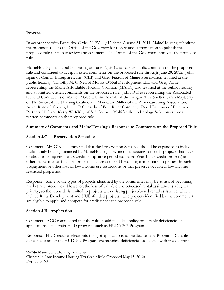## **Process**

In accordance with Executive Order 20 FY 11/12 dated August 24, 2011, MaineHousing submitted the proposed rule to the Office of the Governor for review and authorization to publish the proposed rule for public review and comment. The Office of the Governor approved the proposed rule.

MaineHousing held a public hearing on June 19, 2012 to receive public comment on the proposed rule and continued to accept written comments on the proposed rule through June 29, 2012. John Egan of Coastal Enterprises, Inc. (CEI) and Greg Paxton of Maine Preservation testified at the public hearing. Timothy M. O'Neil of Monks O'Neil Development LLC and Greg Payne representing the Maine Affordable Housing Coalition (MAHC) also testified at the public hearing and submitted written comments on the proposed rule. John O'Dea representing the Associated General Contractors of Maine (AGC), Dennis Marble of the Bangor Area Shelter, Sarah Mayberry of The Smoke-Free Housing Coalition of Maine, Ed Miller of the American Lung Association, Adam Rose of Travois, Inc., TR Quesada of Fore River Company, David Bateman of Bateman Partners LLC and Kerry W. Kirby of 365 Connect Multifamily Technology Solutions submitted written comments on the proposed rule.

## **Summary of Comments and MaineHousing's Response to Comments on the Proposed Rule**

## **Section 3.C. Preservation Set-aside**

Comment: Mr. O'Neil commented that the Preservation Set-aside should be expanded to include multi-family housing financed by MaineHousing, low-income housing tax credit projects that have or about to complete the tax credit compliance period (so-called Year 15 tax credit projects) and other below-market financed projects that are at risk of becoming market rate properties through prepayment or other loss of low-income use restrictions or that preserve occupied, low-income restricted properties.

Response: Some of the types of projects identified by the commenter may be at risk of becoming market rate properties. However, the loss of valuable project-based rental assistance is a higher priority, so the set-aside is limited to projects with existing project-based rental assistance, which include Rural Development and HUD-funded projects. The projects identified by the commenter are eligible to apply and compete for credit under the proposed rule.

#### **Section 4.B. Application**

Comment: AGC commented that the rule should include a policy on curable deficiencies in applications like certain HUD programs such as HUD's 202 Program.

Response: HUD requires electronic filing of applications to the Section 202 Program. Curable deficiencies under the HUD 202 Program are technical deficiencies associated with the electronic

99-346 Maine State Housing Authority Chapter 16 Low-Income Housing Tax Credit Rule (Proposed May 15, 2012) Page 50 of 60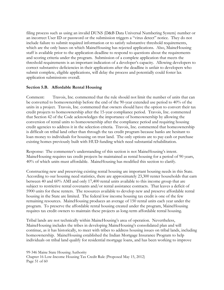filing process such as using an invalid DUNS (D&B Data Universal Numbering System) number or an incorrect User ID or password or the submission triggers a "virus detect" notice. They do not include failure to submit required information or to satisfy substantive threshold requirements, which are the only bases on which MaineHousing has rejected applications. Also, MaineHousing staff is available prior to the application deadline to respond to questions about the requirements and scoring criteria under the program. Submission of a complete application that meets the threshold requirements is an important indication of a developer's capacity. Allowing developers to correct substantive deficiencies in their applications after the deadline is unfair to developers who submit complete, eligible applications, will delay the process and potentially could foster lax application submissions overall.

#### **Section 5.B. Affordable Rental Housing**

Comment: Travois, Inc. commented that the rule should not limit the number of units that can be converted to homeownership before the end of the 90-year extended use period to 40% of the units in a project. Travois, Inc. commented that owners should have the option to convert their tax credit projects to homeownership after the 15-year compliance period. Travois, Inc. commented that Section 42 of the Code acknowledges the importance of homeownership by allowing the conversion of rental units to homeownership after the compliance period and requiring housing credit agencies to address it in the selection criteria. Travois, Inc. commented that homeownership is difficult on tribal land other than through the tax credit program because banks are hesitant to loan money to individuals for housing on trust land. The only options are to pay cash or purchase existing homes previously built with HUD funding which need substantial rehabilitation.

Response: The commenter's understanding of this section is not MaineHousing's intent. MaineHousing requires tax credit projects be maintained as rental housing for a period of 90 years, 40% of which units must affordable. MaineHousing has modified this section to clarify.

Constructing new and preserving existing rental housing are important housing needs in this State. According to our housing need statistics, there are approximately 23,300 renter households that earn between 40 and 60% AMI and only 17,400 rental units available to this income group that are subject to restrictive rental covenants and/or rental assistance contracts. That leaves a deficit of 5900 units for these renters. The resources available to develop new and preserve affordable rental housing in the State are limited. The federal low income housing tax credit is one of the few remaining resources. MaineHousing produces an average of 150 rental units each year under the program. To preserve the affordable rental housing created under the program, MaineHousing requires tax credit owners to maintain these projects as long-term affordable rental housing.

Tribal lands are not technically within MaineHousing's area of operation. Nevertheless, MaineHousing includes the tribes in developing MaineHousing's consolidated plan and will continue, as it has historically, to meet with tribes to address housing issues on tribal lands, including homeownership. MaineHousing established the Indian Mortgage Insurance Program to help individuals on tribal land qualify for residential mortgage loans, and has been working to improve

99-346 Maine State Housing Authority Chapter 16 Low-Income Housing Tax Credit Rule (Proposed May 15, 2012) Page 51 of 60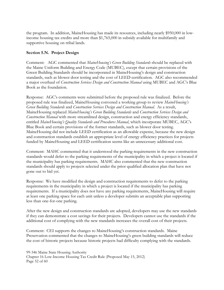the program. In addition, MaineHousing has made its resources, including nearly \$950,000 in lowincome housing tax credits and more than \$1,765,000 in subsidy available for multifamily and supportive housing on tribal lands.

## **Section 5.N. Project Design**

Comment: AGC commented that *MaineHousing's Green Building Standards* should be replaced with the Maine Uniform Building and Energy Code (MUBEC), except that certain provisions of the Green Building Standards should be incorporated in MaineHousing's design and construction standards, such as blower door testing and the cost of LEED certification. AGC also recommended a major overhaul of *Construction Services Design and Construction Manual* using MUBEC and AGC's Blue Book as the foundation.

Response: AGC's comments were submitted before the proposed rule was finalized. Before the proposed rule was finalized, MaineHousing convened a working group to review *MaineHousing's Green Building Standards* and *Construction Services Design and Construction Manual*. As a result, MaineHousing replaced *MaineHousing's Green Building Standards* and *Construction Services Design and Construction Manual* with more streamlined design, construction and energy efficiency standards, entitled *MaineHousing's Quality Standards and Procedures Manual*, which incorporate MUBEC, AGC's Blue Book and certain provisions of the former standards, such as blower door testing. MaineHousing did not include LEED certification as an allowable expense, because the new design and construction standards establish an appropriate level of energy efficiency practices for projects funded by MaineHousing and LEED certification seems like an unnecessary additional cost.

Comment: MAHC commented that it understood the parking requirements in the new construction standards would defer to the parking requirements of the municipality in which a project is located if the municipality has parking requirements. MAHC also commented that the new construction standards should apply to projects selected under the prior qualified allocation plan that have not gone out to bid yet.

Response: We have modified the design and construction requirements to defer to the parking requirements in the municipality in which a project is located if the municipality has parking requirements. If a municipality does not have any parking requirements, MaineHousing will require at least one parking space for each unit unless a developer submits an acceptable plan supporting less than one-for-one parking.

After the new design and construction standards are adopted, developers may use the new standards if they can demonstrate a cost savings for their projects. Developers cannot use the standards if the additional cost of complying with the new standards increases the overall cost of their projects.

Comment: CEI supports the changes to MaineHousing's construction standards. Maine Preservation commented that the changes to MaineHousing's green building standards will reduce the cost of historic projects because historic projects had difficulty complying with the standards.

99-346 Maine State Housing Authority Chapter 16 Low-Income Housing Tax Credit Rule (Proposed May 15, 2012) Page 52 of 60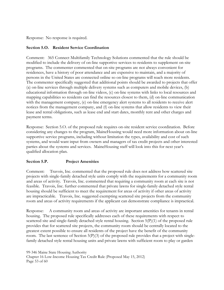Response: No response is required.

## **Section 5.O. Resident Service Coordination**

Comment: 365 Connect Multifamily Technology Solutions commented that the rule should be modified to include the delivery of on-line supportive services to residents to supplement on-site programs. The commenter commented that on-site programs are not always convenient for residences, have a history of poor attendance and are expensive to maintain, and a majority of persons in the United States are connected online so on-line programs will reach more residents. The commenter specifically suggested that additional points should be awarded to projects that offer (a) on-line services through multiple delivery systems such as computers and mobile devices, (b) educational information through on-line videos, (c) on-line systems with links to local resources and mapping capabilities so residents can find the resources closest to them, (d) on-line communication with the management company, (e) on-line emergency alert systems to all residents to receive alert notices from the management company, and (f) on-line systems that allow residents to view their lease and rental obligations, such as lease end and start dates, monthly rent and other charges and payment terms.

Response: Section 5.O. of the proposed rule requires on-site resident service coordination. Before considering any changes to the program, MaineHousing would need more information about on-line supportive service programs, including without limitation the types, availability and cost of such systems, and would want input from owners and managers of tax credit projects and other interested parties about the systems and services. MaineHousing staff will look into this for next year's qualified allocation plan.

#### **Section 5.P. Project Amenities**

Comment: Travois, Inc. commented that the proposed rule does not address how scattered site projects with single-family detached style units comply with the requirements for a community room and areas of activity. Travois, Inc. commented that requiring a community room at each site is not feasible. Travois, Inc. further commented that private lawns for single-family detached style rental housing should be sufficient to meet the requirement for areas of activity if other areas of activity are impracticable. Travois, Inc. suggested exempting scattered site projects from the community room and areas of activity requirements if the applicant can demonstrate compliance is impractical.

Response: A community room and areas of activity are important amenities for tenants in rental housing. The proposed rule specifically addresses each of these requirements with respect to scattered site and single-family detached style rental housing. Section  $5(P)(1)$  of the proposed rule provides that for scattered site projects, the community room should be centrally located to the greatest extent possible to ensure all residents of the project have the benefit of the community room. The last sentence of Section 5(P)(3) of the proposed rule provides that a project with singlefamily detached style rental housing units and private lawns with sufficient room to play or garden

99-346 Maine State Housing Authority Chapter 16 Low-Income Housing Tax Credit Rule (Proposed May 15, 2012) Page 53 of 60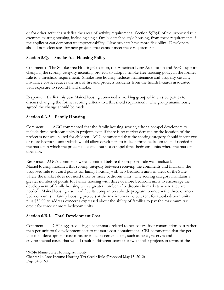or for other activities satisfies the areas of activity requirement. Section  $5(P)(4)$  of the proposed rule exempts existing housing, including single-family detached style housing, from these requirements if the applicant can demonstrate impracticability. New projects have more flexibility. Developers should not select sites for new projects that cannot meet these requirements.

# **Section 5.Q. Smoke-free Housing Policy**

Comments: The Smoke-free Housing Coalition, the American Lung Association and AGC support changing the scoring category incenting projects to adopt a smoke-free housing policy in the former rule to a threshold requirement. Smoke-free housing reduces maintenance and property-casualty insurance costs, reduces the risk of fire and protects residents from the health hazards associated with exposure to second-hand smoke.

Response: Earlier this year MaineHousing convened a working group of interested parties to discuss changing the former scoring criteria to a threshold requirement. The group unanimously agreed the change should be made.

# **Section 6.A.3. Family Housing**

Comment: AGC commented that the family housing scoring criteria compel developers to include three-bedroom units in projects even if there is no market demand or the location of the project is not well-suited for children. AGC commented that the scoring category should incent two or more bedroom units which would allow developers to include three-bedroom units if needed in the market in which the project is located, but not compel three-bedroom units where the market does not.

Response: AGC's comments were submitted before the proposed rule was finalized. MaineHousing modified this scoring category between receiving the comments and finalizing the proposed rule to award points for family housing with two-bedroom units in areas of the State where the market does not need three or more bedroom units. The scoring category maintains a greater number of points for family housing with three or more bedroom units to encourage the development of family housing with a greater number of bedrooms in markets where they are needed. MaineHousing also modified its companion subsidy program to underwrite three or more bedroom units in family housing projects at the maximum tax credit rent for two-bedroom units plus \$50.00 to address concerns expressed about the ability of families to pay the maximum tax credit for three or more bedroom units.

# **Section 6.B.1. Total Development Cost**

Comment: CEI suggested using a benchmark related to per-square foot construction cost rather than per-unit total development cost to measure cost-containment. CEI commented that the perunit total development cost measure includes certain costs, such as taxes, reserves and environmental costs, that would result in different scores for two similar projects in terms of the

99-346 Maine State Housing Authority

Chapter 16 Low-Income Housing Tax Credit Rule (Proposed May 15, 2012) Page 54 of 60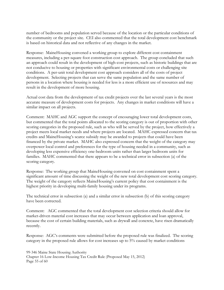number of bedrooms and population served because of the location or the particular conditions of the community or the project site. CEI also commented that the total development cost benchmark is based on historical data and not reflective of any changes in the market.

Response: MaineHousing convened a working group to explore different cost containment measures, including a per-square foot construction cost approach. The group concluded that such an approach could result in the development of high-cost projects, such as historic buildings that are not conducive to housing or properties with significant environmental costs or challenging site conditions. A per-unit total development cost approach considers all of the costs of project development. Selecting projects that can serve the same population and the same number of persons in a location where housing is needed for less is a more efficient use of resources and may result in the development of more housing.

Actual cost data from the development of tax credit projects over the last several years is the most accurate measure of development costs for projects. Any changes in market conditions will have a similar impact on all projects.

Comment: MAHC and AGC support the concept of encouraging lower total development costs, but commented that the total points allocated to the scoring category is out of proportion with other scoring categories in the proposed rule, such as who will be served by the project, how effectively a project meets local market needs and where projects are located. MAHC expressed concern that tax credits and MaineHousing's scarce subsidy may be awarded to projects that could have been financed by the private market. MAHC also expressed concern that the weight of the category may overpower local control and preferences for the type of housing needed in a community, such as developing less expensive efficiency one-bedroom units rather than larger bedroom units for families. MAHC commented that there appears to be a technical error in subsection (a) of the scoring category.

Response: The working group that MaineHousing convened on cost containment spent a significant amount of time discussing the weight of the new total development cost scoring category. The weight of the category reflects MaineHousing's current policy that cost containment is the highest priority in developing multi-family housing under its programs.

The technical error in subsection (a) and a similar error in subsection (b) of this scoring category have been corrected.

Comment: AGC commented that the total development cost selection criteria should allow for market-driven material cost increases that may occur between application and loan approval, because the cost of certain building materials, such as drywall and concrete, have risen dramatically recently.

Response: AGC's comments were submitted before the proposed rule was finalized. The scoring category in the proposed rule allows for cost increases up to 5% caused by market conditions

99-346 Maine State Housing Authority Chapter 16 Low-Income Housing Tax Credit Rule (Proposed May 15, 2012) Page 55 of 60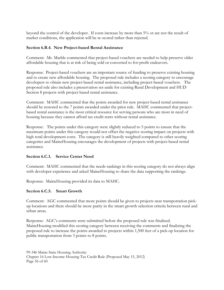beyond the control of the developer. If costs increase by more than 5% or are not the result of market conditions, the application will be re-scored rather than rejected.

## **Section 6.B.4. New Project-based Rental Assistance**

Comment: Mr. Marble commented that project-based vouchers are needed to help preserve older affordable housing that is at risk of being sold or converted to for-profit endeavors.

Response: Project-based vouchers are an important source of funding to preserve existing housing and to create new affordable housing. The proposed rule includes a scoring category to encourage developers to obtain new project-based rental assistance, including project-based vouchers. The proposed rule also includes a preservation set-aside for existing Rural Development and HUD Section 8 projects with project-based rental assistance.

Comment: MAHC commented that the points awarded for new project-based rental assistance should be restored to the 7 points awarded under the prior rule. MAHC commented that projectbased rental assistance is the most critical resource for serving persons who are most in need of housing because they cannot afford tax credit rents without rental assistance.

Response: The points under this category were slightly reduced to 5 points to ensure that the maximum points under this category would not offset the negative scoring impact on projects with high total development costs. The category is still heavily weighted compared to other scoring categories and MaineHousing encourages the development of projects with project-based rental assistance.

# **Section 6.C.1. Service Center Need**

Comment: MAHC commented that the needs rankings in this scoring category do not always align with developer experience and asked MaineHousing to share the data supporting the rankings.

Response: MaineHousing provided its data to MAHC.

#### **Section 6.C.5. Smart Growth**

Comment: AGC commented that more points should be given to projects near transportation pickup locations and there should be more parity in the smart growth selection criteria between rural and urban areas.

Response: AGC's comments were submitted before the proposed rule was finalized. MaineHousing modified this scoring category between receiving the comments and finalizing the proposed rule to increase the points awarded to projects within 1,500 feet of a pick-up location for public transportation from 3 points to 8 points.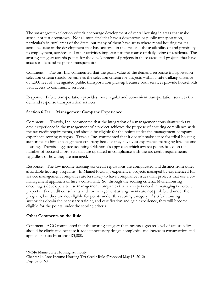The smart growth selection criteria encourage development of rental housing in areas that make sense, not just downtown. Not all municipalities have a downtown or public transportation, particularly in rural areas of the State, but many of them have areas where rental housing makes sense because of the development that has occurred in the area and the availability of and proximity to employment, services and other activities important to the course of daily living of residents. The scoring category awards points for the development of projects in these areas and projects that have access to demand response transportation.

Comment: Travois, Inc. commented that the point value of the demand response transportation selection criteria should be same as the selection criteria for projects within a safe walking distance of 1,500 feet of a designated public transportation pick-up because both services provide households with access to community services.

Response: Public transportation provides more regular and convenient transportation services than demand response transportation services.

# **Section 6.D.1. Management Company Experience**

Comment: Travois, Inc. commented that the integration of a management consultant with tax credit experience in the management of a project achieves the purpose of ensuring compliance with the tax credit requirements, and should be eligible for the points under the management company experience scoring category. Travois, Inc. commented that it doesn't make sense for tribal housing authorities to hire a management company because they have vast experience managing low-income housing. Travois suggested adopting Oklahoma's approach which awards points based on the number of successful projects that are operated in compliance with the tax credit requirements regardless of how they are managed.

Response: The low income housing tax credit regulations are complicated and distinct from other affordable housing programs. In MaineHousing's experience, projects managed by experienced full service management companies are less likely to have compliance issues than projects that use a comanagement approach or hire a consultant. So, through the scoring criteria, MaineHousing encourages developers to use management companies that are experienced in managing tax credit projects. Tax credit consultants and co-management arrangements are not prohibited under the program, but they are not eligible for points under this scoring category. As tribal housing authorities obtain the necessary training and certification and gain experience, they will become eligible for the points under the scoring criteria.

# **Other Comments on the Rule**

Comment: AGC commented that the scoring category that incents a greater level of accessibility should be eliminated because it adds unnecessary design complexity and increases construction and appliance costs by at least \$3,000.

99-346 Maine State Housing Authority Chapter 16 Low-Income Housing Tax Credit Rule (Proposed May 15, 2012) Page 57 of 60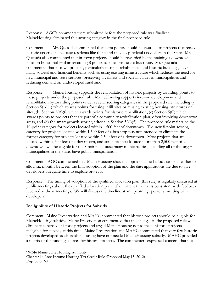Response: AGC's comments were submitted before the proposed rule was finalized. MaineHousing eliminated this scoring category in the final proposed rule.

Comment: Mr. Quesada commented that extra points should be awarded to projects that receive historic tax credits, because residents like them and they keep federal tax dollars in the State. Mr. Quesada also commented that in-town projects should be rewarded by maintaining a downtown location bonus rather than awarding 8 points to locations near a bus route. Mr. Quesada commented that in-town projects, particularly those in rehabilitated and historic buildings, have many societal and financial benefits such as using existing infrastructure which reduces the need for new municipal and state services, preserving liveliness and societal values in municipalities and reducing demand on undeveloped rural land.

Response: MaineHousing supports the rehabilitation of historic projects by awarding points to these projects under the proposed rule. MaineHousing supports in-town development and rehabilitation by awarding points under several scoring categories in the proposed rule, including (a) Section  $5(A)(1)$  which awards points for using infill sites or reusing existing housing, structures or sites, (b) Section  $5(A)(6)$  which awards points for historic rehabilitation, (c) Section  $5(C)$  which awards points to projects that are part of a community revitalization plan, often involving downtown areas, and (d) the smart growth scoring criteria in Section 5(C)(5). The proposed rule maintains the 10-point category for projects located within 1,500 feet of downtown. The new 8-point scoring category for projects located within 1,500 feet of a bus stop was not intended to eliminate the former category for projects located within 2,500 feet of a downtown. Most projects that are located within 2,500 feet of a downtown, and some projects located more than 2,500 feet of a downtown, will be eligible for the 8 points because many municipalities, including all of the larger municipalities in the State, have public transportation.

Comment: AGC commented that MaineHousing should adopt a qualified allocation plan earlier to allow six months between the final adoption of the plan and the date applications are due to give developers adequate time to explore projects.

Response: The timing of adoption of the qualified allocation plan (this rule) is regularly discussed at public meetings about the qualified allocation plan. The current timeline is consistent with feedback received at those meetings. We will discuss the timeline at an upcoming quarterly meeting with developers.

#### **Ineligibility of Historic Projects for Subsidy**

Comment: Maine Preservation and MAHC commented that historic projects should be eligible for MaineHousing subsidy. Maine Preservation commented that the changes in the proposed rule will eliminate expensive historic projects and urged MaineHousing not to make historic projects ineligible for subsidy at this time. Maine Preservation and MAHC commented that very few historic projects developed as affordable housing have not needed MaineHousing subsidy. MAHC provided a matrix of the funding sources for historic projects. The commenters expressed concern that not

```
99-346 Maine State Housing Authority 
Chapter 16 Low-Income Housing Tax Credit Rule (Proposed May 15, 2012) 
Page 58 of 60
```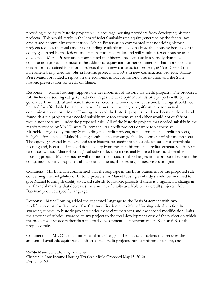providing subsidy to historic projects will discourage housing providers from developing historic projects. This would result in the loss of federal subsidy (the equity generated by the federal tax credit) and community revitalization. Maine Preservation commented that not doing historic projects reduces the total amount of funding available to develop affordable housing because of the equity generated by the federal and state historic tax credits and will result in fewer housing units developed. Maine Preservation commented that historic projects use less subsidy than new construction projects because of the additional equity and further commented that more jobs are created or maintained in historic projects than in new construction projects, 60% to 70% of the investment being used for jobs in historic projects and 50% in new construction projects. Maine Preservation provided a report on the economic impact of historic preservation and the State historic preservation tax credit on Maine.

Response: MaineHousing supports the development of historic tax credit projects. The proposed rule includes a scoring category that encourages the development of historic projects with equity generated from federal and state historic tax credits. However, some historic buildings should not be used for affordable housing because of structural challenges, significant environmental contamination or cost. MaineHousing analyzed the historic projects that have been developed and found that the projects that needed subsidy were too expensive and either would not qualify or would not score well under the proposed rule. All of the historic projects that needed subsidy in the matrix provided by MAHC were "automatic" tax credit projects or were too expensive. MaineHousing is only making State ceiling tax credit projects, not "automatic tax credit projects, ineligible for subsidy. MaineHousing continues to encourage the development of historic projects. The equity generated by federal and state historic tax credits is a valuable resource for affordable housing and, because of the additional equity from the state historic tax credits, generates sufficient resources without MaineHousing's subsidy to develop a reasonably-priced historic affordable housing project. MaineHousing will monitor the impact of the changes in the proposed rule and the companion subsidy program and make adjustments, if necessary, in next year's program.

Comment: Mr. Bateman commented that the language in the Basis Statement of the proposed rule concerning the ineligibility of historic projects for MaineHousing's subsidy should be modified to give MaineHousing flexibility to award subsidy to historic projects if there is a significant change in the financial markets that decreases the amount of equity available to tax credit projects. Mr. Bateman provided specific language.

Response: MaineHousing added the suggested language to the Basis Statement with two modifications or clarifications. The first modification gives MaineHousing sole discretion in awarding subsidy to historic projects under these circumstances and the second modification limits the amount of subsidy awarded to any project to the total development cost of the project on which the project was scored rather than the total development cost benchmarks in Section 6.B. of the proposed rule.

Comment: Mr. O'Neil commented that a change in the financial markets that reduces the amount of available equity would affect all tax credit projects, not just historic projects, and

99-346 Maine State Housing Authority Chapter 16 Low-Income Housing Tax Credit Rule (Proposed May 15, 2012) Page 59 of 60